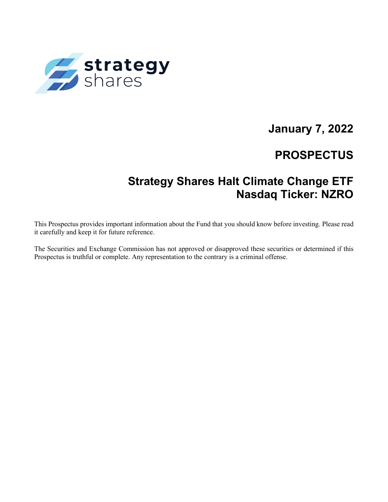

# **January 7, 2022**

# **PROSPECTUS**

# **Strategy Shares Halt Climate Change ETF Nasdaq Ticker: NZRO**

This Prospectus provides important information about the Fund that you should know before investing. Please read it carefully and keep it for future reference.

The Securities and Exchange Commission has not approved or disapproved these securities or determined if this Prospectus is truthful or complete. Any representation to the contrary is a criminal offense.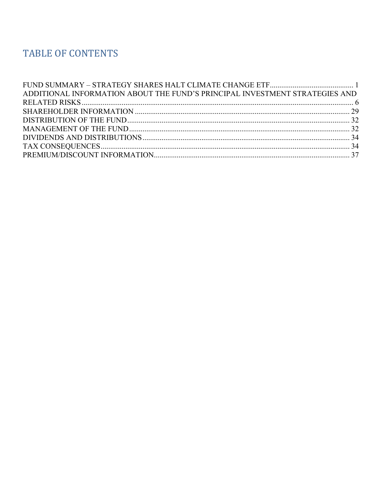# TABLE OF CONTENTS

| ADDITIONAL INFORMATION ABOUT THE FUND'S PRINCIPAL INVESTMENT STRATEGIES AND |  |
|-----------------------------------------------------------------------------|--|
|                                                                             |  |
|                                                                             |  |
|                                                                             |  |
|                                                                             |  |
|                                                                             |  |
|                                                                             |  |
|                                                                             |  |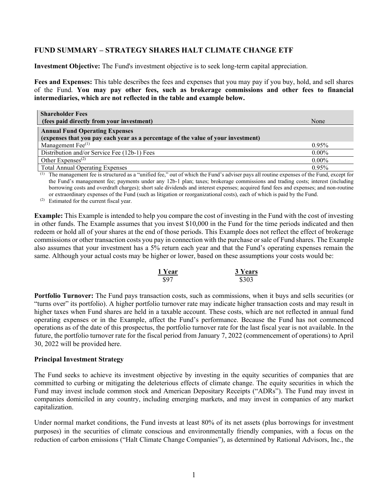# <span id="page-2-0"></span>**FUND SUMMARY – STRATEGY SHARES HALT CLIMATE CHANGE ETF**

**Investment Objective:** The Fund's investment objective is to seek long-term capital appreciation.

**Fees and Expenses:** This table describes the fees and expenses that you may pay if you buy, hold, and sell shares of the Fund. **You may pay other fees, such as brokerage commissions and other fees to financial intermediaries, which are not reflected in the table and example below.**

| <b>Shareholder Fees</b>                                                                                                    |          |
|----------------------------------------------------------------------------------------------------------------------------|----------|
| (fees paid directly from your investment)                                                                                  | None     |
| <b>Annual Fund Operating Expenses</b><br>(expenses that you pay each year as a percentage of the value of your investment) |          |
| Management $\text{Fee}^{(1)}$                                                                                              | $0.95\%$ |
| Distribution and/or Service Fee (12b-1) Fees                                                                               | $0.00\%$ |
| Other Expenses <sup><math>(2)</math></sup>                                                                                 | $0.00\%$ |
| <b>Total Annual Operating Expenses</b>                                                                                     | 0.95%    |

(1) The management fee is structured as a "unified fee," out of which the Fund's adviser pays all routine expenses of the Fund, except for the Fund's management fee; payments under any 12b-1 plan; taxes; brokerage commissions and trading costs; interest (including borrowing costs and overdraft charges); short sale dividends and interest expenses; acquired fund fees and expenses; and non-routine or extraordinary expenses of the Fund (such as litigation or reorganizational costs), each of which is paid by the Fund.

(2) Estimated for the current fiscal year.

**Example:** This Example is intended to help you compare the cost of investing in the Fund with the cost of investing in other funds. The Example assumes that you invest \$10,000 in the Fund for the time periods indicated and then redeem or hold all of your shares at the end of those periods. This Example does not reflect the effect of brokerage commissions or other transaction costs you pay in connection with the purchase or sale of Fund shares. The Example also assumes that your investment has a 5% return each year and that the Fund's operating expenses remain the same. Although your actual costs may be higher or lower, based on these assumptions your costs would be:

| 1 Year | <b>3 Years</b> |
|--------|----------------|
| \$97   | \$303          |

**Portfolio Turnover:** The Fund pays transaction costs, such as commissions, when it buys and sells securities (or "turns over" its portfolio). A higher portfolio turnover rate may indicate higher transaction costs and may result in higher taxes when Fund shares are held in a taxable account. These costs, which are not reflected in annual fund operating expenses or in the Example, affect the Fund's performance. Because the Fund has not commenced operations as of the date of this prospectus, the portfolio turnover rate for the last fiscal year is not available. In the future, the portfolio turnover rate for the fiscal period from January 7, 2022 (commencement of operations) to April 30, 2022 will be provided here.

# **Principal Investment Strategy**

The Fund seeks to achieve its investment objective by investing in the equity securities of companies that are committed to curbing or mitigating the deleterious effects of climate change. The equity securities in which the Fund may invest include common stock and American Depositary Receipts ("ADRs"). The Fund may invest in companies domiciled in any country, including emerging markets, and may invest in companies of any market capitalization.

Under normal market conditions, the Fund invests at least 80% of its net assets (plus borrowings for investment purposes) in the securities of climate conscious and environmentally friendly companies, with a focus on the reduction of carbon emissions ("Halt Climate Change Companies"), as determined by Rational Advisors, Inc., the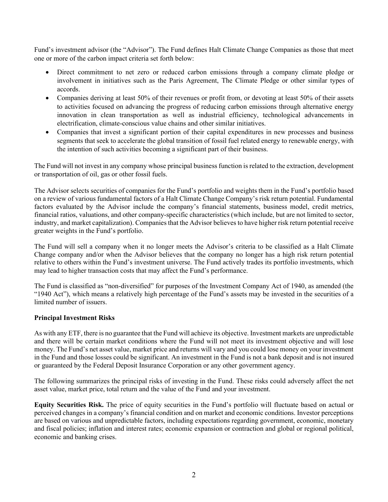Fund's investment advisor (the "Advisor"). The Fund defines Halt Climate Change Companies as those that meet one or more of the carbon impact criteria set forth below:

- Direct commitment to net zero or reduced carbon emissions through a company climate pledge or involvement in initiatives such as the Paris Agreement, The Climate Pledge or other similar types of accords.
- Companies deriving at least 50% of their revenues or profit from, or devoting at least 50% of their assets to activities focused on advancing the progress of reducing carbon emissions through alternative energy innovation in clean transportation as well as industrial efficiency, technological advancements in electrification, climate-conscious value chains and other similar initiatives.
- Companies that invest a significant portion of their capital expenditures in new processes and business segments that seek to accelerate the global transition of fossil fuel related energy to renewable energy, with the intention of such activities becoming a significant part of their business.

The Fund will not invest in any company whose principal business function is related to the extraction, development or transportation of oil, gas or other fossil fuels.

The Advisor selects securities of companies for the Fund's portfolio and weights them in the Fund's portfolio based on a review of various fundamental factors of a Halt Climate Change Company's risk return potential. Fundamental factors evaluated by the Advisor include the company's financial statements, business model, credit metrics, financial ratios, valuations, and other company-specific characteristics (which include, but are not limited to sector, industry, and market capitalization). Companies that the Advisor believes to have higher risk return potential receive greater weights in the Fund's portfolio.

The Fund will sell a company when it no longer meets the Advisor's criteria to be classified as a Halt Climate Change company and/or when the Advisor believes that the company no longer has a high risk return potential relative to others within the Fund's investment universe. The Fund actively trades its portfolio investments, which may lead to higher transaction costs that may affect the Fund's performance.

The Fund is classified as "non-diversified" for purposes of the Investment Company Act of 1940, as amended (the "1940 Act"), which means a relatively high percentage of the Fund's assets may be invested in the securities of a limited number of issuers.

# **Principal Investment Risks**

As with any ETF, there is no guarantee that the Fund will achieve its objective. Investment markets are unpredictable and there will be certain market conditions where the Fund will not meet its investment objective and will lose money. The Fund's net asset value, market price and returns will vary and you could lose money on your investment in the Fund and those losses could be significant. An investment in the Fund is not a bank deposit and is not insured or guaranteed by the Federal Deposit Insurance Corporation or any other government agency.

The following summarizes the principal risks of investing in the Fund. These risks could adversely affect the net asset value, market price, total return and the value of the Fund and your investment.

**Equity Securities Risk.** The price of equity securities in the Fund's portfolio will fluctuate based on actual or perceived changes in a company's financial condition and on market and economic conditions. Investor perceptions are based on various and unpredictable factors, including expectations regarding government, economic, monetary and fiscal policies; inflation and interest rates; economic expansion or contraction and global or regional political, economic and banking crises.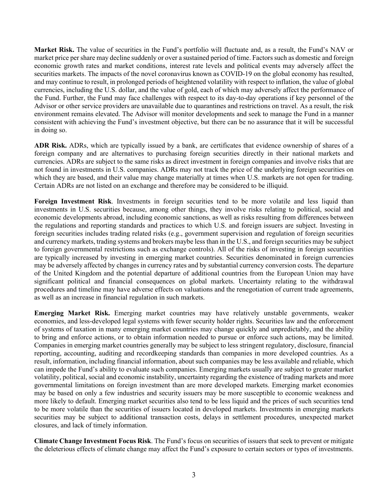**Market Risk.** The value of securities in the Fund's portfolio will fluctuate and, as a result, the Fund's NAV or market price per share may decline suddenly or over a sustained period of time. Factors such as domestic and foreign economic growth rates and market conditions, interest rate levels and political events may adversely affect the securities markets. The impacts of the novel coronavirus known as COVID-19 on the global economy has resulted, and may continue to result, in prolonged periods of heightened volatility with respect to inflation, the value of global currencies, including the U.S. dollar, and the value of gold, each of which may adversely affect the performance of the Fund. Further, the Fund may face challenges with respect to its day-to-day operations if key personnel of the Advisor or other service providers are unavailable due to quarantines and restrictions on travel. As a result, the risk environment remains elevated. The Advisor will monitor developments and seek to manage the Fund in a manner consistent with achieving the Fund's investment objective, but there can be no assurance that it will be successful in doing so.

**ADR Risk.** ADRs, which are typically issued by a bank, are certificates that evidence ownership of shares of a foreign company and are alternatives to purchasing foreign securities directly in their national markets and currencies. ADRs are subject to the same risks as direct investment in foreign companies and involve risks that are not found in investments in U.S. companies. ADRs may not track the price of the underlying foreign securities on which they are based, and their value may change materially at times when U.S. markets are not open for trading. Certain ADRs are not listed on an exchange and therefore may be considered to be illiquid.

**Foreign Investment Risk**. Investments in foreign securities tend to be more volatile and less liquid than investments in U.S. securities because, among other things, they involve risks relating to political, social and economic developments abroad, including economic sanctions, as well as risks resulting from differences between the regulations and reporting standards and practices to which U.S. and foreign issuers are subject. Investing in foreign securities includes trading related risks (e.g., government supervision and regulation of foreign securities and currency markets, trading systems and brokers maybe less than in the U.S., and foreign securities may be subject to foreign governmental restrictions such as exchange controls). All of the risks of investing in foreign securities are typically increased by investing in emerging market countries. Securities denominated in foreign currencies may be adversely affected by changes in currency rates and by substantial currency conversion costs. The departure of the United Kingdom and the potential departure of additional countries from the European Union may have significant political and financial consequences on global markets. Uncertainty relating to the withdrawal procedures and timeline may have adverse effects on valuations and the renegotiation of current trade agreements, as well as an increase in financial regulation in such markets.

**Emerging Market Risk.** Emerging market countries may have relatively unstable governments, weaker economies, and less-developed legal systems with fewer security holder rights. Securities law and the enforcement of systems of taxation in many emerging market countries may change quickly and unpredictably, and the ability to bring and enforce actions, or to obtain information needed to pursue or enforce such actions, may be limited. Companies in emerging market countries generally may be subject to less stringent regulatory, disclosure, financial reporting, accounting, auditing and recordkeeping standards than companies in more developed countries. As a result, information, including financial information, about such companies may be less available and reliable, which can impede the Fund's ability to evaluate such companies. Emerging markets usually are subject to greater market volatility, political, social and economic instability, uncertainty regarding the existence of trading markets and more governmental limitations on foreign investment than are more developed markets. Emerging market economies may be based on only a few industries and security issuers may be more susceptible to economic weakness and more likely to default. Emerging market securities also tend to be less liquid and the prices of such securities tend to be more volatile than the securities of issuers located in developed markets. Investments in emerging markets securities may be subject to additional transaction costs, delays in settlement procedures, unexpected market closures, and lack of timely information.

**Climate Change Investment Focus Risk**. The Fund's focus on securities of issuers that seek to prevent or mitigate the deleterious effects of climate change may affect the Fund's exposure to certain sectors or types of investments.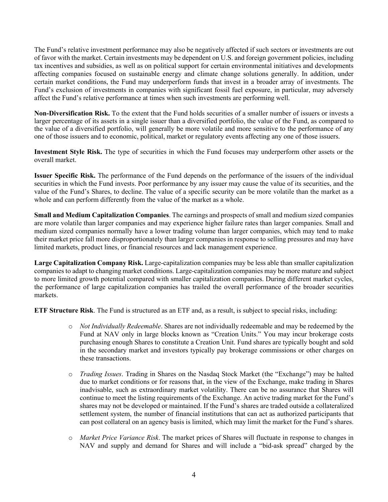The Fund's relative investment performance may also be negatively affected if such sectors or investments are out of favor with the market. Certain investments may be dependent on U.S. and foreign government policies, including tax incentives and subsidies, as well as on political support for certain environmental initiatives and developments affecting companies focused on sustainable energy and climate change solutions generally. In addition, under certain market conditions, the Fund may underperform funds that invest in a broader array of investments. The Fund's exclusion of investments in companies with significant fossil fuel exposure, in particular, may adversely affect the Fund's relative performance at times when such investments are performing well.

**Non-Diversification Risk.** To the extent that the Fund holds securities of a smaller number of issuers or invests a larger percentage of its assets in a single issuer than a diversified portfolio, the value of the Fund, as compared to the value of a diversified portfolio, will generally be more volatile and more sensitive to the performance of any one of those issuers and to economic, political, market or regulatory events affecting any one of those issuers.

**Investment Style Risk.** The type of securities in which the Fund focuses may underperform other assets or the overall market.

**Issuer Specific Risk.** The performance of the Fund depends on the performance of the issuers of the individual securities in which the Fund invests. Poor performance by any issuer may cause the value of its securities, and the value of the Fund's Shares, to decline. The value of a specific security can be more volatile than the market as a whole and can perform differently from the value of the market as a whole.

**Small and Medium Capitalization Companies**. The earnings and prospects of small and medium sized companies are more volatile than larger companies and may experience higher failure rates than larger companies. Small and medium sized companies normally have a lower trading volume than larger companies, which may tend to make their market price fall more disproportionately than larger companies in response to selling pressures and may have limited markets, product lines, or financial resources and lack management experience.

**Large Capitalization Company Risk.** Large-capitalization companies may be less able than smaller capitalization companies to adapt to changing market conditions. Large-capitalization companies may be more mature and subject to more limited growth potential compared with smaller capitalization companies. During different market cycles, the performance of large capitalization companies has trailed the overall performance of the broader securities markets.

**ETF Structure Risk**. The Fund is structured as an ETF and, as a result, is subject to special risks, including:

- o *Not Individually Redeemable*. Shares are not individually redeemable and may be redeemed by the Fund at NAV only in large blocks known as "Creation Units." You may incur brokerage costs purchasing enough Shares to constitute a Creation Unit. Fund shares are typically bought and sold in the secondary market and investors typically pay brokerage commissions or other charges on these transactions.
- o *Trading Issues*. Trading in Shares on the Nasdaq Stock Market (the "Exchange") may be halted due to market conditions or for reasons that, in the view of the Exchange, make trading in Shares inadvisable, such as extraordinary market volatility. There can be no assurance that Shares will continue to meet the listing requirements of the Exchange. An active trading market for the Fund's shares may not be developed or maintained. If the Fund's shares are traded outside a collateralized settlement system, the number of financial institutions that can act as authorized participants that can post collateral on an agency basis is limited, which may limit the market for the Fund's shares.
- o *Market Price Variance Risk*. The market prices of Shares will fluctuate in response to changes in NAV and supply and demand for Shares and will include a "bid-ask spread" charged by the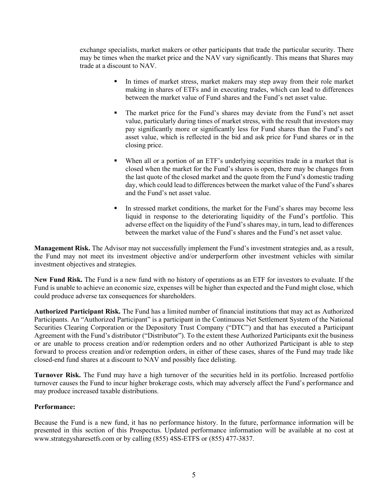exchange specialists, market makers or other participants that trade the particular security. There may be times when the market price and the NAV vary significantly. This means that Shares may trade at a discount to NAV.

- In times of market stress, market makers may step away from their role market making in shares of ETFs and in executing trades, which can lead to differences between the market value of Fund shares and the Fund's net asset value.
- The market price for the Fund's shares may deviate from the Fund's net asset value, particularly during times of market stress, with the result that investors may pay significantly more or significantly less for Fund shares than the Fund's net asset value, which is reflected in the bid and ask price for Fund shares or in the closing price.
- When all or a portion of an ETF's underlying securities trade in a market that is closed when the market for the Fund's shares is open, there may be changes from the last quote of the closed market and the quote from the Fund's domestic trading day, which could lead to differences between the market value of the Fund's shares and the Fund's net asset value.
- In stressed market conditions, the market for the Fund's shares may become less liquid in response to the deteriorating liquidity of the Fund's portfolio. This adverse effect on the liquidity of the Fund's shares may, in turn, lead to differences between the market value of the Fund's shares and the Fund's net asset value.

**Management Risk.** The Advisor may not successfully implement the Fund's investment strategies and, as a result, the Fund may not meet its investment objective and/or underperform other investment vehicles with similar investment objectives and strategies.

**New Fund Risk.** The Fund is a new fund with no history of operations as an ETF for investors to evaluate. If the Fund is unable to achieve an economic size, expenses will be higher than expected and the Fund might close, which could produce adverse tax consequences for shareholders.

**Authorized Participant Risk.** The Fund has a limited number of financial institutions that may act as Authorized Participants. An "Authorized Participant" is a participant in the Continuous Net Settlement System of the National Securities Clearing Corporation or the Depository Trust Company ("DTC") and that has executed a Participant Agreement with the Fund's distributor ("Distributor"). To the extent these Authorized Participants exit the business or are unable to process creation and/or redemption orders and no other Authorized Participant is able to step forward to process creation and/or redemption orders, in either of these cases, shares of the Fund may trade like closed-end fund shares at a discount to NAV and possibly face delisting.

**Turnover Risk.** The Fund may have a high turnover of the securities held in its portfolio. Increased portfolio turnover causes the Fund to incur higher brokerage costs, which may adversely affect the Fund's performance and may produce increased taxable distributions.

# **Performance:**

Because the Fund is a new fund, it has no performance history. In the future, performance information will be presented in this section of this Prospectus. Updated performance information will be available at no cost at www.strategysharesetfs.com or by calling (855) 4SS-ETFS or (855) 477-3837.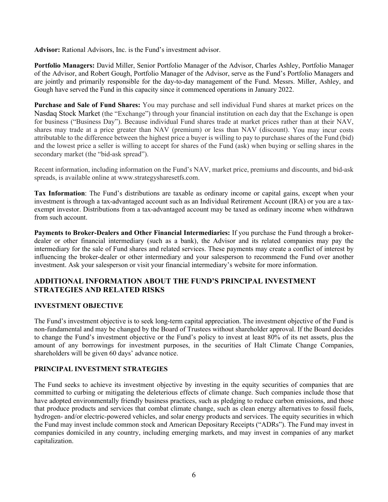**Advisor:** Rational Advisors, Inc. is the Fund's investment advisor.

**Portfolio Managers:** David Miller, Senior Portfolio Manager of the Advisor, Charles Ashley, Portfolio Manager of the Advisor, and Robert Gough, Portfolio Manager of the Advisor, serve as the Fund's Portfolio Managers and are jointly and primarily responsible for the day-to-day management of the Fund. Messrs. Miller, Ashley, and Gough have served the Fund in this capacity since it commenced operations in January 2022.

**Purchase and Sale of Fund Shares:** You may purchase and sell individual Fund shares at market prices on the Nasdaq Stock Market (the "Exchange") through your financial institution on each day that the Exchange is open for business ("Business Day"). Because individual Fund shares trade at market prices rather than at their NAV, shares may trade at a price greater than NAV (premium) or less than NAV (discount). You may incur costs attributable to the difference between the highest price a buyer is willing to pay to purchase shares of the Fund (bid) and the lowest price a seller is willing to accept for shares of the Fund (ask) when buying or selling shares in the secondary market (the "bid-ask spread").

Recent information, including information on the Fund's NAV, market price, premiums and discounts, and bid-ask spreads, is available online at www.strategysharesetfs.com.

**Tax Information**: The Fund's distributions are taxable as ordinary income or capital gains, except when your investment is through a tax-advantaged account such as an Individual Retirement Account (IRA) or you are a taxexempt investor. Distributions from a tax-advantaged account may be taxed as ordinary income when withdrawn from such account.

**Payments to Broker-Dealers and Other Financial Intermediaries:** If you purchase the Fund through a brokerdealer or other financial intermediary (such as a bank), the Advisor and its related companies may pay the intermediary for the sale of Fund shares and related services. These payments may create a conflict of interest by influencing the broker-dealer or other intermediary and your salesperson to recommend the Fund over another investment. Ask your salesperson or visit your financial intermediary's website for more information.

# <span id="page-7-0"></span>**ADDITIONAL INFORMATION ABOUT THE FUND'S PRINCIPAL INVESTMENT STRATEGIES AND RELATED RISKS**

# **INVESTMENT OBJECTIVE**

The Fund's investment objective is to seek long-term capital appreciation. The investment objective of the Fund is non-fundamental and may be changed by the Board of Trustees without shareholder approval. If the Board decides to change the Fund's investment objective or the Fund's policy to invest at least 80% of its net assets, plus the amount of any borrowings for investment purposes, in the securities of Halt Climate Change Companies, shareholders will be given 60 days' advance notice.

# **PRINCIPAL INVESTMENT STRATEGIES**

The Fund seeks to achieve its investment objective by investing in the equity securities of companies that are committed to curbing or mitigating the deleterious effects of climate change. Such companies include those that have adopted environmentally friendly business practices, such as pledging to reduce carbon emissions, and those that produce products and services that combat climate change, such as clean energy alternatives to fossil fuels, hydrogen- and/or electric-powered vehicles, and solar energy products and services. The equity securities in which the Fund may invest include common stock and American Depositary Receipts ("ADRs"). The Fund may invest in companies domiciled in any country, including emerging markets, and may invest in companies of any market capitalization.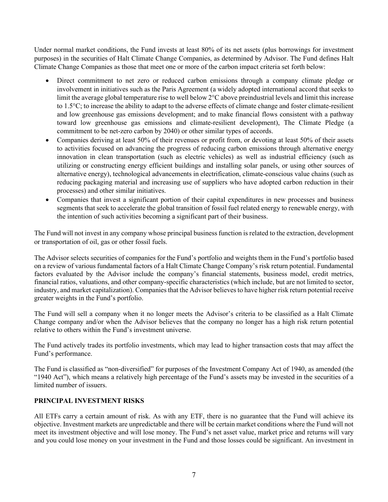Under normal market conditions, the Fund invests at least 80% of its net assets (plus borrowings for investment purposes) in the securities of Halt Climate Change Companies, as determined by Advisor. The Fund defines Halt Climate Change Companies as those that meet one or more of the carbon impact criteria set forth below:

- Direct commitment to net zero or reduced carbon emissions through a company climate pledge or involvement in initiatives such as the Paris Agreement (a widely adopted international accord that seeks to limit the average global temperature rise to well below 2°C above preindustrial levels and limit this increase to 1.5°C; to increase the ability to adapt to the adverse effects of climate change and foster climate-resilient and low greenhouse gas emissions development; and to make financial flows consistent with a pathway toward low greenhouse gas emissions and climate-resilient development), The Climate Pledge (a commitment to be net-zero carbon by 2040) or other similar types of accords.
- Companies deriving at least 50% of their revenues or profit from, or devoting at least 50% of their assets to activities focused on advancing the progress of reducing carbon emissions through alternative energy innovation in clean transportation (such as electric vehicles) as well as industrial efficiency (such as utilizing or constructing energy efficient buildings and installing solar panels, or using other sources of alternative energy), technological advancements in electrification, climate-conscious value chains (such as reducing packaging material and increasing use of suppliers who have adopted carbon reduction in their processes) and other similar initiatives.
- Companies that invest a significant portion of their capital expenditures in new processes and business segments that seek to accelerate the global transition of fossil fuel related energy to renewable energy, with the intention of such activities becoming a significant part of their business.

The Fund will not invest in any company whose principal business function is related to the extraction, development or transportation of oil, gas or other fossil fuels.

The Advisor selects securities of companies for the Fund's portfolio and weights them in the Fund's portfolio based on a review of various fundamental factors of a Halt Climate Change Company's risk return potential. Fundamental factors evaluated by the Advisor include the company's financial statements, business model, credit metrics, financial ratios, valuations, and other company-specific characteristics (which include, but are not limited to sector, industry, and market capitalization). Companies that the Advisor believes to have higher risk return potential receive greater weights in the Fund's portfolio.

The Fund will sell a company when it no longer meets the Advisor's criteria to be classified as a Halt Climate Change company and/or when the Advisor believes that the company no longer has a high risk return potential relative to others within the Fund's investment universe.

The Fund actively trades its portfolio investments, which may lead to higher transaction costs that may affect the Fund's performance.

The Fund is classified as "non-diversified" for purposes of the Investment Company Act of 1940, as amended (the "1940 Act"), which means a relatively high percentage of the Fund's assets may be invested in the securities of a limited number of issuers.

# **PRINCIPAL INVESTMENT RISKS**

All ETFs carry a certain amount of risk. As with any ETF, there is no guarantee that the Fund will achieve its objective. Investment markets are unpredictable and there will be certain market conditions where the Fund will not meet its investment objective and will lose money. The Fund's net asset value, market price and returns will vary and you could lose money on your investment in the Fund and those losses could be significant. An investment in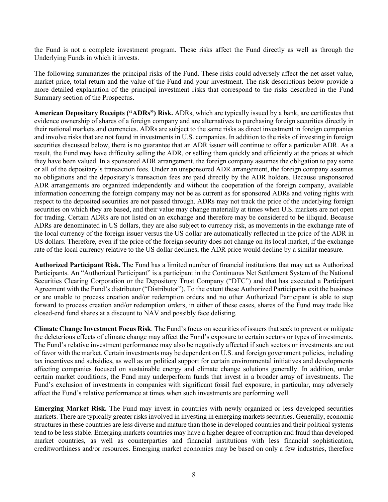the Fund is not a complete investment program. These risks affect the Fund directly as well as through the Underlying Funds in which it invests.

The following summarizes the principal risks of the Fund. These risks could adversely affect the net asset value, market price, total return and the value of the Fund and your investment. The risk descriptions below provide a more detailed explanation of the principal investment risks that correspond to the risks described in the Fund Summary section of the Prospectus.

**American Depositary Receipts ("ADRs") Risk.** ADRs, which are typically issued by a bank, are certificates that evidence ownership of shares of a foreign company and are alternatives to purchasing foreign securities directly in their national markets and currencies. ADRs are subject to the same risks as direct investment in foreign companies and involve risks that are not found in investments in U.S. companies. In addition to the risks of investing in foreign securities discussed below, there is no guarantee that an ADR issuer will continue to offer a particular ADR. As a result, the Fund may have difficulty selling the ADR, or selling them quickly and efficiently at the prices at which they have been valued. In a sponsored ADR arrangement, the foreign company assumes the obligation to pay some or all of the depositary's transaction fees. Under an unsponsored ADR arrangement, the foreign company assumes no obligations and the depositary's transaction fees are paid directly by the ADR holders. Because unsponsored ADR arrangements are organized independently and without the cooperation of the foreign company, available information concerning the foreign company may not be as current as for sponsored ADRs and voting rights with respect to the deposited securities are not passed through. ADRs may not track the price of the underlying foreign securities on which they are based, and their value may change materially at times when U.S. markets are not open for trading. Certain ADRs are not listed on an exchange and therefore may be considered to be illiquid. Because ADRs are denominated in US dollars, they are also subject to currency risk, as movements in the exchange rate of the local currency of the foreign issuer versus the US dollar are automatically reflected in the price of the ADR in US dollars. Therefore, even if the price of the foreign security does not change on its local market, if the exchange rate of the local currency relative to the US dollar declines, the ADR price would decline by a similar measure.

**Authorized Participant Risk.** The Fund has a limited number of financial institutions that may act as Authorized Participants. An "Authorized Participant" is a participant in the Continuous Net Settlement System of the National Securities Clearing Corporation or the Depository Trust Company ("DTC") and that has executed a Participant Agreement with the Fund's distributor ("Distributor"). To the extent these Authorized Participants exit the business or are unable to process creation and/or redemption orders and no other Authorized Participant is able to step forward to process creation and/or redemption orders, in either of these cases, shares of the Fund may trade like closed-end fund shares at a discount to NAV and possibly face delisting.

**Climate Change Investment Focus Risk**. The Fund's focus on securities of issuers that seek to prevent or mitigate the deleterious effects of climate change may affect the Fund's exposure to certain sectors or types of investments. The Fund's relative investment performance may also be negatively affected if such sectors or investments are out of favor with the market. Certain investments may be dependent on U.S. and foreign government policies, including tax incentives and subsidies, as well as on political support for certain environmental initiatives and developments affecting companies focused on sustainable energy and climate change solutions generally. In addition, under certain market conditions, the Fund may underperform funds that invest in a broader array of investments. The Fund's exclusion of investments in companies with significant fossil fuel exposure, in particular, may adversely affect the Fund's relative performance at times when such investments are performing well.

**Emerging Market Risk.** The Fund may invest in countries with newly organized or less developed securities markets. There are typically greater risks involved in investing in emerging markets securities. Generally, economic structures in these countries are less diverse and mature than those in developed countries and their political systems tend to be less stable. Emerging markets countries may have a higher degree of corruption and fraud than developed market countries, as well as counterparties and financial institutions with less financial sophistication, creditworthiness and/or resources. Emerging market economies may be based on only a few industries, therefore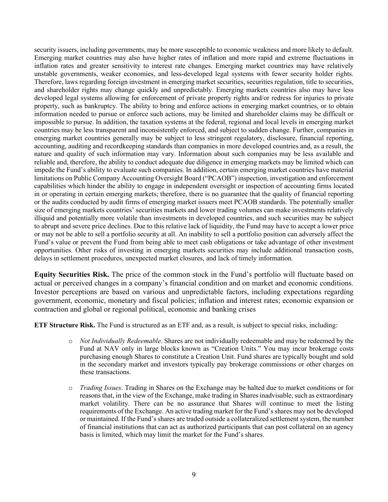security issuers, including governments, may be more susceptible to economic weakness and more likely to default. Emerging market countries may also have higher rates of inflation and more rapid and extreme fluctuations in inflation rates and greater sensitivity to interest rate changes. Emerging market countries may have relatively unstable governments, weaker economies, and less-developed legal systems with fewer security holder rights. Therefore, laws regarding foreign investment in emerging market securities, securities regulation, title to securities, and shareholder rights may change quickly and unpredictably. Emerging markets countries also may have less developed legal systems allowing for enforcement of private property rights and/or redress for injuries to private property, such as bankruptcy. The ability to bring and enforce actions in emerging market countries, or to obtain information needed to pursue or enforce such actions, may be limited and shareholder claims may be difficult or impossible to pursue. In addition, the taxation systems at the federal, regional and local levels in emerging market countries may be less transparent and inconsistently enforced, and subject to sudden change. Further, companies in emerging market countries generally may be subject to less stringent regulatory, disclosure, financial reporting, accounting, auditing and recordkeeping standards than companies in more developed countries and, as a result, the nature and quality of such information may vary. Information about such companies may be less available and reliable and, therefore, the ability to conduct adequate due diligence in emerging markets may be limited which can impede the Fund's ability to evaluate such companies. In addition, certain emerging market countries have material limitations on Public Company Accounting Oversight Board ("PCAOB") inspection, investigation and enforcement capabilities which hinder the ability to engage in independent oversight or inspection of accounting firms located in or operating in certain emerging markets; therefore, there is no guarantee that the quality of financial reporting or the audits conducted by audit firms of emerging market issuers meet PCAOB standards. The potentially smaller size of emerging markets countries' securities markets and lower trading volumes can make investments relatively illiquid and potentially more volatile than investments in developed countries, and such securities may be subject to abrupt and severe price declines. Due to this relative lack of liquidity, the Fund may have to accept a lower price or may not be able to sell a portfolio security at all. An inability to sell a portfolio position can adversely affect the Fund's value or prevent the Fund from being able to meet cash obligations or take advantage of other investment opportunities. Other risks of investing in emerging markets securities may include additional transaction costs, delays in settlement procedures, unexpected market closures, and lack of timely information.

**Equity Securities Risk.** The price of the common stock in the Fund's portfolio will fluctuate based on actual or perceived changes in a company's financial condition and on market and economic conditions. Investor perceptions are based on various and unpredictable factors, including expectations regarding government, economic, monetary and fiscal policies; inflation and interest rates; economic expansion or contraction and global or regional political, economic and banking crises

**ETF Structure Risk.** The Fund is structured as an ETF and, as a result, is subject to special risks, including:

- o *Not Individually Redeemable*. Shares are not individually redeemable and may be redeemed by the Fund at NAV only in large blocks known as "Creation Units." You may incur brokerage costs purchasing enough Shares to constitute a Creation Unit. Fund shares are typically bought and sold in the secondary market and investors typically pay brokerage commissions or other charges on these transactions.
- o *Trading Issues*. Trading in Shares on the Exchange may be halted due to market conditions or for reasons that, in the view of the Exchange, make trading in Shares inadvisable, such as extraordinary market volatility. There can be no assurance that Shares will continue to meet the listing requirements of the Exchange. An active trading market for the Fund's shares may not be developed or maintained. If the Fund's shares are traded outside a collateralized settlement system, the number of financial institutions that can act as authorized participants that can post collateral on an agency basis is limited, which may limit the market for the Fund's shares.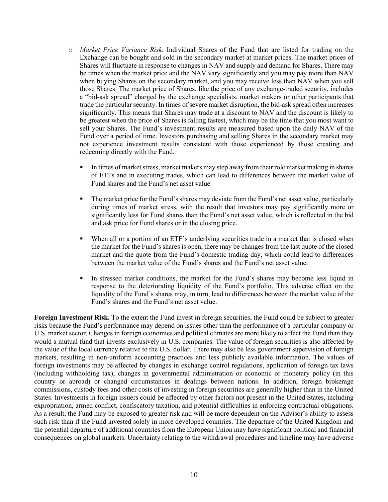- o *Market Price Variance Risk*. Individual Shares of the Fund that are listed for trading on the Exchange can be bought and sold in the secondary market at market prices. The market prices of Shares will fluctuate in response to changes in NAV and supply and demand for Shares. There may be times when the market price and the NAV vary significantly and you may pay more than NAV when buying Shares on the secondary market, and you may receive less than NAV when you sell those Shares. The market price of Shares, like the price of any exchange-traded security, includes a "bid-ask spread" charged by the exchange specialists, market makers or other participants that trade the particular security. In times of severe market disruption, the bid-ask spread often increases significantly. This means that Shares may trade at a discount to NAV and the discount is likely to be greatest when the price of Shares is falling fastest, which may be the time that you most want to sell your Shares. The Fund's investment results are measured based upon the daily NAV of the Fund over a period of time. Investors purchasing and selling Shares in the secondary market may not experience investment results consistent with those experienced by those creating and redeeming directly with the Fund.
	- In times of market stress, market makers may step away from their role market making in shares of ETFs and in executing trades, which can lead to differences between the market value of Fund shares and the Fund's net asset value.
	- The market price for the Fund's shares may deviate from the Fund's net asset value, particularly during times of market stress, with the result that investors may pay significantly more or significantly less for Fund shares than the Fund's net asset value, which is reflected in the bid and ask price for Fund shares or in the closing price.
	- When all or a portion of an ETF's underlying securities trade in a market that is closed when the market for the Fund's shares is open, there may be changes from the last quote of the closed market and the quote from the Fund's domestic trading day, which could lead to differences between the market value of the Fund's shares and the Fund's net asset value.
	- In stressed market conditions, the market for the Fund's shares may become less liquid in response to the deteriorating liquidity of the Fund's portfolio. This adverse effect on the liquidity of the Fund's shares may, in turn, lead to differences between the market value of the Fund's shares and the Fund's net asset value.

**Foreign Investment Risk.** To the extent the Fund invest in foreign securities, the Fund could be subject to greater risks because the Fund's performance may depend on issues other than the performance of a particular company or U.S. market sector. Changes in foreign economies and political climates are more likely to affect the Fund than they would a mutual fund that invests exclusively in U.S. companies. The value of foreign securities is also affected by the value of the local currency relative to the U.S. dollar. There may also be less government supervision of foreign markets, resulting in non-uniform accounting practices and less publicly available information. The values of foreign investments may be affected by changes in exchange control regulations, application of foreign tax laws (including withholding tax), changes in governmental administration or economic or monetary policy (in this country or abroad) or changed circumstances in dealings between nations. In addition, foreign brokerage commissions, custody fees and other costs of investing in foreign securities are generally higher than in the United States. Investments in foreign issuers could be affected by other factors not present in the United States, including expropriation, armed conflict, confiscatory taxation, and potential difficulties in enforcing contractual obligations. As a result, the Fund may be exposed to greater risk and will be more dependent on the Advisor's ability to assess such risk than if the Fund invested solely in more developed countries. The departure of the United Kingdom and the potential departure of additional countries from the European Union may have significant political and financial consequences on global markets. Uncertainty relating to the withdrawal procedures and timeline may have adverse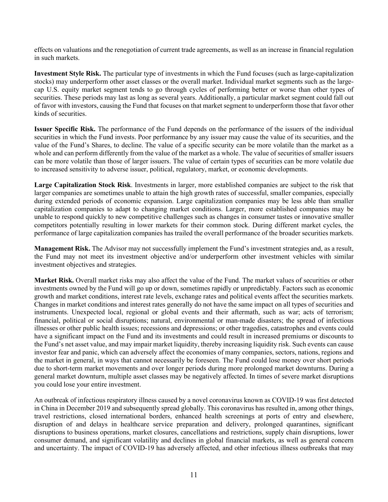effects on valuations and the renegotiation of current trade agreements, as well as an increase in financial regulation in such markets.

**Investment Style Risk.** The particular type of investments in which the Fund focuses (such as large-capitalization stocks) may underperform other asset classes or the overall market. Individual market segments such as the largecap U.S. equity market segment tends to go through cycles of performing better or worse than other types of securities. These periods may last as long as several years. Additionally, a particular market segment could fall out of favor with investors, causing the Fund that focuses on that market segment to underperform those that favor other kinds of securities.

**Issuer Specific Risk.** The performance of the Fund depends on the performance of the issuers of the individual securities in which the Fund invests. Poor performance by any issuer may cause the value of its securities, and the value of the Fund's Shares, to decline. The value of a specific security can be more volatile than the market as a whole and can perform differently from the value of the market as a whole. The value of securities of smaller issuers can be more volatile than those of larger issuers. The value of certain types of securities can be more volatile due to increased sensitivity to adverse issuer, political, regulatory, market, or economic developments.

**Large Capitalization Stock Risk**. Investments in larger, more established companies are subject to the risk that larger companies are sometimes unable to attain the high growth rates of successful, smaller companies, especially during extended periods of economic expansion. Large capitalization companies may be less able than smaller capitalization companies to adapt to changing market conditions. Larger, more established companies may be unable to respond quickly to new competitive challenges such as changes in consumer tastes or innovative smaller competitors potentially resulting in lower markets for their common stock. During different market cycles, the performance of large capitalization companies has trailed the overall performance of the broader securities markets.

**Management Risk.** The Advisor may not successfully implement the Fund's investment strategies and, as a result, the Fund may not meet its investment objective and/or underperform other investment vehicles with similar investment objectives and strategies.

**Market Risk.** Overall market risks may also affect the value of the Fund. The market values of securities or other investments owned by the Fund will go up or down, sometimes rapidly or unpredictably. Factors such as economic growth and market conditions, interest rate levels, exchange rates and political events affect the securities markets. Changes in market conditions and interest rates generally do not have the same impact on all types of securities and instruments. Unexpected local, regional or global events and their aftermath, such as war; acts of terrorism; financial, political or social disruptions; natural, environmental or man-made disasters; the spread of infectious illnesses or other public health issues; recessions and depressions; or other tragedies, catastrophes and events could have a significant impact on the Fund and its investments and could result in increased premiums or discounts to the Fund's net asset value, and may impair market liquidity, thereby increasing liquidity risk. Such events can cause investor fear and panic, which can adversely affect the economies of many companies, sectors, nations, regions and the market in general, in ways that cannot necessarily be foreseen. The Fund could lose money over short periods due to short-term market movements and over longer periods during more prolonged market downturns. During a general market downturn, multiple asset classes may be negatively affected. In times of severe market disruptions you could lose your entire investment.

An outbreak of infectious respiratory illness caused by a novel coronavirus known as COVID-19 was first detected in China in December 2019 and subsequently spread globally. This coronavirus has resulted in, among other things, travel restrictions, closed international borders, enhanced health screenings at ports of entry and elsewhere, disruption of and delays in healthcare service preparation and delivery, prolonged quarantines, significant disruptions to business operations, market closures, cancellations and restrictions, supply chain disruptions, lower consumer demand, and significant volatility and declines in global financial markets, as well as general concern and uncertainty. The impact of COVID-19 has adversely affected, and other infectious illness outbreaks that may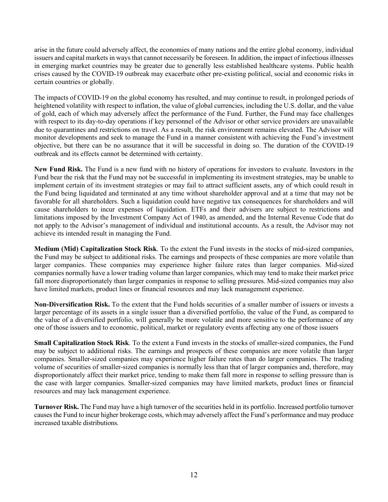arise in the future could adversely affect, the economies of many nations and the entire global economy, individual issuers and capital markets in ways that cannot necessarily be foreseen. In addition, the impact of infectious illnesses in emerging market countries may be greater due to generally less established healthcare systems. Public health crises caused by the COVID-19 outbreak may exacerbate other pre-existing political, social and economic risks in certain countries or globally.

The impacts of COVID-19 on the global economy has resulted, and may continue to result, in prolonged periods of heightened volatility with respect to inflation, the value of global currencies, including the U.S. dollar, and the value of gold, each of which may adversely affect the performance of the Fund. Further, the Fund may face challenges with respect to its day-to-day operations if key personnel of the Advisor or other service providers are unavailable due to quarantines and restrictions on travel. As a result, the risk environment remains elevated. The Advisor will monitor developments and seek to manage the Fund in a manner consistent with achieving the Fund's investment objective, but there can be no assurance that it will be successful in doing so. The duration of the COVID-19 outbreak and its effects cannot be determined with certainty.

**New Fund Risk.** The Fund is a new fund with no history of operations for investors to evaluate. Investors in the Fund bear the risk that the Fund may not be successful in implementing its investment strategies, may be unable to implement certain of its investment strategies or may fail to attract sufficient assets, any of which could result in the Fund being liquidated and terminated at any time without shareholder approval and at a time that may not be favorable for all shareholders. Such a liquidation could have negative tax consequences for shareholders and will cause shareholders to incur expenses of liquidation. ETFs and their advisers are subject to restrictions and limitations imposed by the Investment Company Act of 1940, as amended, and the Internal Revenue Code that do not apply to the Advisor's management of individual and institutional accounts. As a result, the Advisor may not achieve its intended result in managing the Fund.

**Medium (Mid) Capitalization Stock Risk**. To the extent the Fund invests in the stocks of mid-sized companies, the Fund may be subject to additional risks. The earnings and prospects of these companies are more volatile than larger companies. These companies may experience higher failure rates than larger companies. Mid-sized companies normally have a lower trading volume than larger companies, which may tend to make their market price fall more disproportionately than larger companies in response to selling pressures. Mid-sized companies may also have limited markets, product lines or financial resources and may lack management experience.

**Non-Diversification Risk.** To the extent that the Fund holds securities of a smaller number of issuers or invests a larger percentage of its assets in a single issuer than a diversified portfolio, the value of the Fund, as compared to the value of a diversified portfolio, will generally be more volatile and more sensitive to the performance of any one of those issuers and to economic, political, market or regulatory events affecting any one of those issuers

**Small Capitalization Stock Risk**. To the extent a Fund invests in the stocks of smaller-sized companies, the Fund may be subject to additional risks. The earnings and prospects of these companies are more volatile than larger companies. Smaller-sized companies may experience higher failure rates than do larger companies. The trading volume of securities of smaller-sized companies is normally less than that of larger companies and, therefore, may disproportionately affect their market price, tending to make them fall more in response to selling pressure than is the case with larger companies. Smaller-sized companies may have limited markets, product lines or financial resources and may lack management experience.

**Turnover Risk.** The Fund may have a high turnover of the securities held in its portfolio. Increased portfolio turnover causes the Fund to incur higher brokerage costs, which may adversely affect the Fund's performance and may produce increased taxable distributions.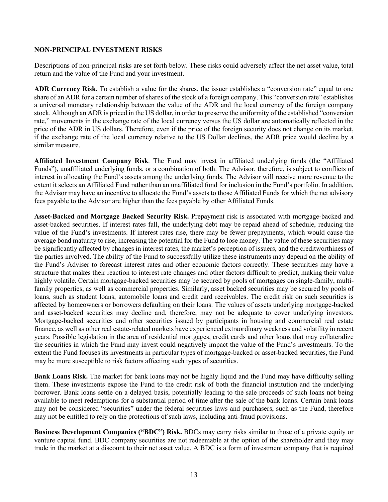#### **NON-PRINCIPAL INVESTMENT RISKS**

Descriptions of non-principal risks are set forth below. These risks could adversely affect the net asset value, total return and the value of the Fund and your investment.

**ADR Currency Risk.** To establish a value for the shares, the issuer establishes a "conversion rate" equal to one share of an ADR for a certain number of shares of the stock of a foreign company. This "conversion rate" establishes a universal monetary relationship between the value of the ADR and the local currency of the foreign company stock. Although an ADR is priced in the US dollar, in order to preserve the uniformity of the established "conversion rate," movements in the exchange rate of the local currency versus the US dollar are automatically reflected in the price of the ADR in US dollars. Therefore, even if the price of the foreign security does not change on its market, if the exchange rate of the local currency relative to the US Dollar declines, the ADR price would decline by a similar measure.

**Affiliated Investment Company Risk**. The Fund may invest in affiliated underlying funds (the "Affiliated Funds"), unaffiliated underlying funds, or a combination of both. The Advisor, therefore, is subject to conflicts of interest in allocating the Fund's assets among the underlying funds. The Advisor will receive more revenue to the extent it selects an Affiliated Fund rather than an unaffiliated fund for inclusion in the Fund's portfolio. In addition, the Advisor may have an incentive to allocate the Fund's assets to those Affiliated Funds for which the net advisory fees payable to the Advisor are higher than the fees payable by other Affiliated Funds.

**Asset-Backed and Mortgage Backed Security Risk.** Prepayment risk is associated with mortgage-backed and asset-backed securities. If interest rates fall, the underlying debt may be repaid ahead of schedule, reducing the value of the Fund's investments. If interest rates rise, there may be fewer prepayments, which would cause the average bond maturity to rise, increasing the potential for the Fund to lose money. The value of these securities may be significantly affected by changes in interest rates, the market's perception of issuers, and the creditworthiness of the parties involved. The ability of the Fund to successfully utilize these instruments may depend on the ability of the Fund's Adviser to forecast interest rates and other economic factors correctly. These securities may have a structure that makes their reaction to interest rate changes and other factors difficult to predict, making their value highly volatile. Certain mortgage-backed securities may be secured by pools of mortgages on single-family, multifamily properties, as well as commercial properties. Similarly, asset backed securities may be secured by pools of loans, such as student loans, automobile loans and credit card receivables. The credit risk on such securities is affected by homeowners or borrowers defaulting on their loans. The values of assets underlying mortgage-backed and asset-backed securities may decline and, therefore, may not be adequate to cover underlying investors. Mortgage-backed securities and other securities issued by participants in housing and commercial real estate finance, as well as other real estate-related markets have experienced extraordinary weakness and volatility in recent years. Possible legislation in the area of residential mortgages, credit cards and other loans that may collateralize the securities in which the Fund may invest could negatively impact the value of the Fund's investments. To the extent the Fund focuses its investments in particular types of mortgage-backed or asset-backed securities, the Fund may be more susceptible to risk factors affecting such types of securities.

**Bank Loans Risk.** The market for bank loans may not be highly liquid and the Fund may have difficulty selling them. These investments expose the Fund to the credit risk of both the financial institution and the underlying borrower. Bank loans settle on a delayed basis, potentially leading to the sale proceeds of such loans not being available to meet redemptions for a substantial period of time after the sale of the bank loans. Certain bank loans may not be considered "securities" under the federal securities laws and purchasers, such as the Fund, therefore may not be entitled to rely on the protections of such laws, including anti-fraud provisions.

**Business Development Companies ("BDC") Risk.** BDCs may carry risks similar to those of a private equity or venture capital fund. BDC company securities are not redeemable at the option of the shareholder and they may trade in the market at a discount to their net asset value. A BDC is a form of investment company that is required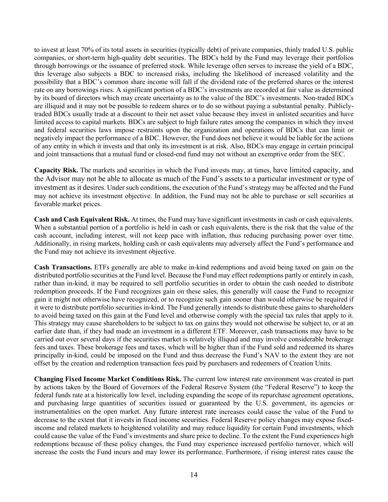to invest at least 70% of its total assets in securities (typically debt) of private companies, thinly traded U.S. public companies, or short-term high-quality debt securities. The BDCs held by the Fund may leverage their portfolios through borrowings or the issuance of preferred stock. While leverage often serves to increase the yield of a BDC, this leverage also subjects a BDC to increased risks, including the likelihood of increased volatility and the possibility that a BDC's common share income will fall if the dividend rate of the preferred shares or the interest rate on any borrowings rises. A significant portion of a BDC's investments are recorded at fair value as determined by its board of directors which may create uncertainty as to the value of the BDC's investments. Non-traded BDCs are illiquid and it may not be possible to redeem shares or to do so without paying a substantial penalty. Publiclytraded BDCs usually trade at a discount to their net asset value because they invest in unlisted securities and have limited access to capital markets. BDCs are subject to high failure rates among the companies in which they invest and federal securities laws impose restraints upon the organization and operations of BDCs that can limit or negatively impact the performance of a BDC. However, the Fund does not believe it would be liable for the actions of any entity in which it invests and that only its investment is at risk. Also, BDCs may engage in certain principal and joint transactions that a mutual fund or closed-end fund may not without an exemptive order from the SEC.

**Capacity Risk.** The markets and securities in which the Fund invests may, at times, have limited capacity, and the Advisor may not be able to allocate as much of the Fund's assets to a particular investment or type of investment as it desires. Under such conditions, the execution of the Fund's strategy may be affected and the Fund may not achieve its investment objective. In addition, the Fund may not be able to purchase or sell securities at favorable market prices.

**Cash and Cash Equivalent Risk.** At times, the Fund may have significant investments in cash or cash equivalents. When a substantial portion of a portfolio is held in cash or cash equivalents, there is the risk that the value of the cash account, including interest, will not keep pace with inflation, thus reducing purchasing power over time. Additionally, in rising markets, holding cash or cash equivalents may adversely affect the Fund's performance and the Fund may not achieve its investment objective.

**Cash Transactions.** ETFs generally are able to make in-kind redemptions and avoid being taxed on gain on the distributed portfolio securities at the Fund level. Because the Fund may effect redemptions partly or entirely in cash, rather than in-kind, it may be required to sell portfolio securities in order to obtain the cash needed to distribute redemption proceeds. If the Fund recognizes gain on these sales, this generally will cause the Fund to recognize gain it might not otherwise have recognized, or to recognize such gain sooner than would otherwise be required if it were to distribute portfolio securities in-kind. The Fund generally intends to distribute these gains to shareholders to avoid being taxed on this gain at the Fund level and otherwise comply with the special tax rules that apply to it. This strategy may cause shareholders to be subject to tax on gains they would not otherwise be subject to, or at an earlier date than, if they had made an investment in a different ETF. Moreover, cash transactions may have to be carried out over several days if the securities market is relatively illiquid and may involve considerable brokerage fees and taxes. These brokerage fees and taxes, which will be higher than if the Fund sold and redeemed its shares principally in-kind, could be imposed on the Fund and thus decrease the Fund's NAV to the extent they are not offset by the creation and redemption transaction fees paid by purchasers and redeemers of Creation Units.

**Changing Fixed Income Market Conditions Risk.** The current low interest rate environment was created in part by actions taken by the Board of Governors of the Federal Reserve System (the "Federal Reserve") to keep the federal funds rate at a historically low level, including expanding the scope of its repurchase agreement operations, and purchasing large quantities of securities issued or guaranteed by the U.S. government, its agencies or instrumentalities on the open market. Any future interest rate increases could cause the value of the Fund to decrease to the extent that it invests in fixed income securities. Federal Reserve policy changes may expose fixedincome and related markets to heightened volatility and may reduce liquidity for certain Fund investments, which could cause the value of the Fund's investments and share price to decline. To the extent the Fund experiences high redemptions because of these policy changes, the Fund may experience increased portfolio turnover, which will increase the costs the Fund incurs and may lower its performance. Furthermore, if rising interest rates cause the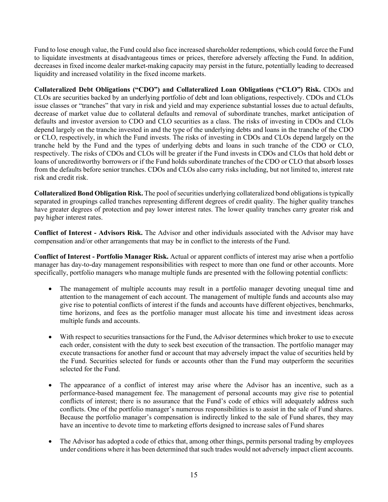Fund to lose enough value, the Fund could also face increased shareholder redemptions, which could force the Fund to liquidate investments at disadvantageous times or prices, therefore adversely affecting the Fund. In addition, decreases in fixed income dealer market-making capacity may persist in the future, potentially leading to decreased liquidity and increased volatility in the fixed income markets.

**Collateralized Debt Obligations ("CDO") and Collateralized Loan Obligations ("CLO") Risk.** CDOs and CLOs are securities backed by an underlying portfolio of debt and loan obligations, respectively. CDOs and CLOs issue classes or "tranches" that vary in risk and yield and may experience substantial losses due to actual defaults, decrease of market value due to collateral defaults and removal of subordinate tranches, market anticipation of defaults and investor aversion to CDO and CLO securities as a class. The risks of investing in CDOs and CLOs depend largely on the tranche invested in and the type of the underlying debts and loans in the tranche of the CDO or CLO, respectively, in which the Fund invests. The risks of investing in CDOs and CLOs depend largely on the tranche held by the Fund and the types of underlying debts and loans in such tranche of the CDO or CLO, respectively. The risks of CDOs and CLOs will be greater if the Fund invests in CDOs and CLOs that hold debt or loans of uncreditworthy borrowers or if the Fund holds subordinate tranches of the CDO or CLO that absorb losses from the defaults before senior tranches. CDOs and CLOs also carry risks including, but not limited to, interest rate risk and credit risk.

**Collateralized Bond Obligation Risk.** The pool of securities underlying collateralized bond obligations is typically separated in groupings called tranches representing different degrees of credit quality. The higher quality tranches have greater degrees of protection and pay lower interest rates. The lower quality tranches carry greater risk and pay higher interest rates.

**Conflict of Interest - Advisors Risk.** The Advisor and other individuals associated with the Advisor may have compensation and/or other arrangements that may be in conflict to the interests of the Fund.

**Conflict of Interest - Portfolio Manager Risk.** Actual or apparent conflicts of interest may arise when a portfolio manager has day-to-day management responsibilities with respect to more than one fund or other accounts. More specifically, portfolio managers who manage multiple funds are presented with the following potential conflicts:

- The management of multiple accounts may result in a portfolio manager devoting unequal time and attention to the management of each account. The management of multiple funds and accounts also may give rise to potential conflicts of interest if the funds and accounts have different objectives, benchmarks, time horizons, and fees as the portfolio manager must allocate his time and investment ideas across multiple funds and accounts.
- With respect to securities transactions for the Fund, the Advisor determines which broker to use to execute each order, consistent with the duty to seek best execution of the transaction. The portfolio manager may execute transactions for another fund or account that may adversely impact the value of securities held by the Fund. Securities selected for funds or accounts other than the Fund may outperform the securities selected for the Fund.
- The appearance of a conflict of interest may arise where the Advisor has an incentive, such as a performance-based management fee. The management of personal accounts may give rise to potential conflicts of interest; there is no assurance that the Fund's code of ethics will adequately address such conflicts. One of the portfolio manager's numerous responsibilities is to assist in the sale of Fund shares. Because the portfolio manager's compensation is indirectly linked to the sale of Fund shares, they may have an incentive to devote time to marketing efforts designed to increase sales of Fund shares
- The Advisor has adopted a code of ethics that, among other things, permits personal trading by employees under conditions where it has been determined that such trades would not adversely impact client accounts.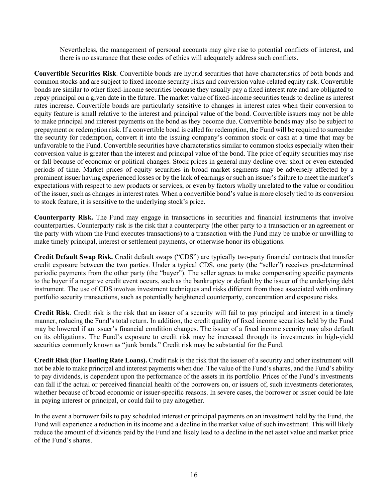Nevertheless, the management of personal accounts may give rise to potential conflicts of interest, and there is no assurance that these codes of ethics will adequately address such conflicts.

**Convertible Securities Risk**. Convertible bonds are hybrid securities that have characteristics of both bonds and common stocks and are subject to fixed income security risks and conversion value-related equity risk. Convertible bonds are similar to other fixed-income securities because they usually pay a fixed interest rate and are obligated to repay principal on a given date in the future. The market value of fixed-income securities tends to decline as interest rates increase. Convertible bonds are particularly sensitive to changes in interest rates when their conversion to equity feature is small relative to the interest and principal value of the bond. Convertible issuers may not be able to make principal and interest payments on the bond as they become due. Convertible bonds may also be subject to prepayment or redemption risk. If a convertible bond is called for redemption, the Fund will be required to surrender the security for redemption, convert it into the issuing company's common stock or cash at a time that may be unfavorable to the Fund. Convertible securities have characteristics similar to common stocks especially when their conversion value is greater than the interest and principal value of the bond. The price of equity securities may rise or fall because of economic or political changes. Stock prices in general may decline over short or even extended periods of time. Market prices of equity securities in broad market segments may be adversely affected by a prominent issuer having experienced losses or by the lack of earnings or such an issuer's failure to meet the market's expectations with respect to new products or services, or even by factors wholly unrelated to the value or condition of the issuer, such as changes in interest rates. When a convertible bond's value is more closely tied to its conversion to stock feature, it is sensitive to the underlying stock's price.

**Counterparty Risk.** The Fund may engage in transactions in securities and financial instruments that involve counterparties. Counterparty risk is the risk that a counterparty (the other party to a transaction or an agreement or the party with whom the Fund executes transactions) to a transaction with the Fund may be unable or unwilling to make timely principal, interest or settlement payments, or otherwise honor its obligations.

**Credit Default Swap Risk.** Credit default swaps ("CDS") are typically two-party financial contracts that transfer credit exposure between the two parties. Under a typical CDS, one party (the "seller") receives pre-determined periodic payments from the other party (the "buyer"). The seller agrees to make compensating specific payments to the buyer if a negative credit event occurs, such as the bankruptcy or default by the issuer of the underlying debt instrument. The use of CDS involves investment techniques and risks different from those associated with ordinary portfolio security transactions, such as potentially heightened counterparty, concentration and exposure risks.

**Credit Risk**. Credit risk is the risk that an issuer of a security will fail to pay principal and interest in a timely manner, reducing the Fund's total return. In addition, the credit quality of fixed income securities held by the Fund may be lowered if an issuer's financial condition changes. The issuer of a fixed income security may also default on its obligations. The Fund's exposure to credit risk may be increased through its investments in high-yield securities commonly known as "junk bonds." Credit risk may be substantial for the Fund.

**Credit Risk (for Floating Rate Loans).** Credit risk is the risk that the issuer of a security and other instrument will not be able to make principal and interest payments when due. The value of the Fund's shares, and the Fund's ability to pay dividends, is dependent upon the performance of the assets in its portfolio. Prices of the Fund's investments can fall if the actual or perceived financial health of the borrowers on, or issuers of, such investments deteriorates, whether because of broad economic or issuer-specific reasons. In severe cases, the borrower or issuer could be late in paying interest or principal, or could fail to pay altogether.

In the event a borrower fails to pay scheduled interest or principal payments on an investment held by the Fund, the Fund will experience a reduction in its income and a decline in the market value of such investment. This will likely reduce the amount of dividends paid by the Fund and likely lead to a decline in the net asset value and market price of the Fund's shares.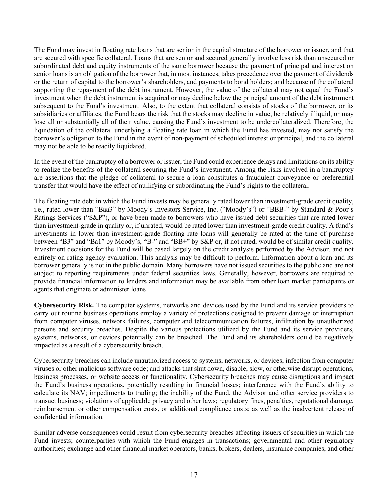The Fund may invest in floating rate loans that are senior in the capital structure of the borrower or issuer, and that are secured with specific collateral. Loans that are senior and secured generally involve less risk than unsecured or subordinated debt and equity instruments of the same borrower because the payment of principal and interest on senior loans is an obligation of the borrower that, in most instances, takes precedence over the payment of dividends or the return of capital to the borrower's shareholders, and payments to bond holders; and because of the collateral supporting the repayment of the debt instrument. However, the value of the collateral may not equal the Fund's investment when the debt instrument is acquired or may decline below the principal amount of the debt instrument subsequent to the Fund's investment. Also, to the extent that collateral consists of stocks of the borrower, or its subsidiaries or affiliates, the Fund bears the risk that the stocks may decline in value, be relatively illiquid, or may lose all or substantially all of their value, causing the Fund's investment to be undercollateralized. Therefore, the liquidation of the collateral underlying a floating rate loan in which the Fund has invested, may not satisfy the borrower's obligation to the Fund in the event of non-payment of scheduled interest or principal, and the collateral may not be able to be readily liquidated.

In the event of the bankruptcy of a borrower or issuer, the Fund could experience delays and limitations on its ability to realize the benefits of the collateral securing the Fund's investment. Among the risks involved in a bankruptcy are assertions that the pledge of collateral to secure a loan constitutes a fraudulent conveyance or preferential transfer that would have the effect of nullifying or subordinating the Fund's rights to the collateral.

The floating rate debt in which the Fund invests may be generally rated lower than investment-grade credit quality, i.e., rated lower than "Baa3" by Moody's Investors Service, Inc. ("Moody's") or "BBB-" by Standard & Poor's Ratings Services ("S&P"), or have been made to borrowers who have issued debt securities that are rated lower than investment-grade in quality or, if unrated, would be rated lower than investment-grade credit quality. A fund's investments in lower than investment-grade floating rate loans will generally be rated at the time of purchase between "B3" and "Ba1" by Moody's, "B-" and "BB+" by S&P or, if not rated, would be of similar credit quality. Investment decisions for the Fund will be based largely on the credit analysis performed by the Advisor, and not entirely on rating agency evaluation. This analysis may be difficult to perform. Information about a loan and its borrower generally is not in the public domain. Many borrowers have not issued securities to the public and are not subject to reporting requirements under federal securities laws. Generally, however, borrowers are required to provide financial information to lenders and information may be available from other loan market participants or agents that originate or administer loans.

**Cybersecurity Risk.** The computer systems, networks and devices used by the Fund and its service providers to carry out routine business operations employ a variety of protections designed to prevent damage or interruption from computer viruses, network failures, computer and telecommunication failures, infiltration by unauthorized persons and security breaches. Despite the various protections utilized by the Fund and its service providers, systems, networks, or devices potentially can be breached. The Fund and its shareholders could be negatively impacted as a result of a cybersecurity breach.

Cybersecurity breaches can include unauthorized access to systems, networks, or devices; infection from computer viruses or other malicious software code; and attacks that shut down, disable, slow, or otherwise disrupt operations, business processes, or website access or functionality. Cybersecurity breaches may cause disruptions and impact the Fund's business operations, potentially resulting in financial losses; interference with the Fund's ability to calculate its NAV; impediments to trading; the inability of the Fund, the Advisor and other service providers to transact business; violations of applicable privacy and other laws; regulatory fines, penalties, reputational damage, reimbursement or other compensation costs, or additional compliance costs; as well as the inadvertent release of confidential information.

Similar adverse consequences could result from cybersecurity breaches affecting issuers of securities in which the Fund invests; counterparties with which the Fund engages in transactions; governmental and other regulatory authorities; exchange and other financial market operators, banks, brokers, dealers, insurance companies, and other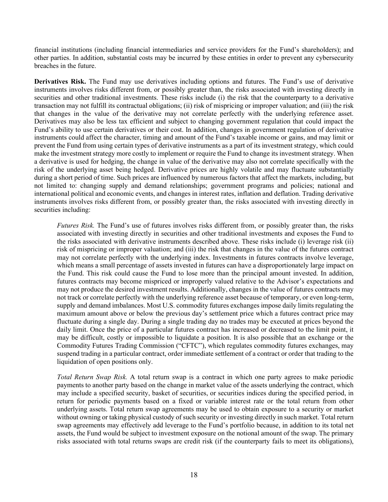financial institutions (including financial intermediaries and service providers for the Fund's shareholders); and other parties. In addition, substantial costs may be incurred by these entities in order to prevent any cybersecurity breaches in the future.

**Derivatives Risk.** The Fund may use derivatives including options and futures. The Fund's use of derivative instruments involves risks different from, or possibly greater than, the risks associated with investing directly in securities and other traditional investments. These risks include (i) the risk that the counterparty to a derivative transaction may not fulfill its contractual obligations; (ii) risk of mispricing or improper valuation; and (iii) the risk that changes in the value of the derivative may not correlate perfectly with the underlying reference asset. Derivatives may also be less tax efficient and subject to changing government regulation that could impact the Fund's ability to use certain derivatives or their cost. In addition, changes in government regulation of derivative instruments could affect the character, timing and amount of the Fund's taxable income or gains, and may limit or prevent the Fund from using certain types of derivative instruments as a part of its investment strategy, which could make the investment strategy more costly to implement or require the Fund to change its investment strategy. When a derivative is used for hedging, the change in value of the derivative may also not correlate specifically with the risk of the underlying asset being hedged. Derivative prices are highly volatile and may fluctuate substantially during a short period of time. Such prices are influenced by numerous factors that affect the markets, including, but not limited to: changing supply and demand relationships; government programs and policies; national and international political and economic events, and changes in interest rates, inflation and deflation. Trading derivative instruments involves risks different from, or possibly greater than, the risks associated with investing directly in securities including:

*Futures Risk.* The Fund's use of futures involves risks different from, or possibly greater than, the risks associated with investing directly in securities and other traditional investments and exposes the Fund to the risks associated with derivative instruments described above. These risks include (i) leverage risk (ii) risk of mispricing or improper valuation; and (iii) the risk that changes in the value of the futures contract may not correlate perfectly with the underlying index. Investments in futures contracts involve leverage, which means a small percentage of assets invested in futures can have a disproportionately large impact on the Fund. This risk could cause the Fund to lose more than the principal amount invested. In addition, futures contracts may become mispriced or improperly valued relative to the Advisor's expectations and may not produce the desired investment results. Additionally, changes in the value of futures contracts may not track or correlate perfectly with the underlying reference asset because of temporary, or even long-term, supply and demand imbalances. Most U.S. commodity futures exchanges impose daily limits regulating the maximum amount above or below the previous day's settlement price which a futures contract price may fluctuate during a single day. During a single trading day no trades may be executed at prices beyond the daily limit. Once the price of a particular futures contract has increased or decreased to the limit point, it may be difficult, costly or impossible to liquidate a position. It is also possible that an exchange or the Commodity Futures Trading Commission ("CFTC"), which regulates commodity futures exchanges, may suspend trading in a particular contract, order immediate settlement of a contract or order that trading to the liquidation of open positions only.

*Total Return Swap Risk.* A total return swap is a contract in which one party agrees to make periodic payments to another party based on the change in market value of the assets underlying the contract, which may include a specified security, basket of securities, or securities indices during the specified period, in return for periodic payments based on a fixed or variable interest rate or the total return from other underlying assets. Total return swap agreements may be used to obtain exposure to a security or market without owning or taking physical custody of such security or investing directly in such market. Total return swap agreements may effectively add leverage to the Fund's portfolio because, in addition to its total net assets, the Fund would be subject to investment exposure on the notional amount of the swap. The primary risks associated with total returns swaps are credit risk (if the counterparty fails to meet its obligations),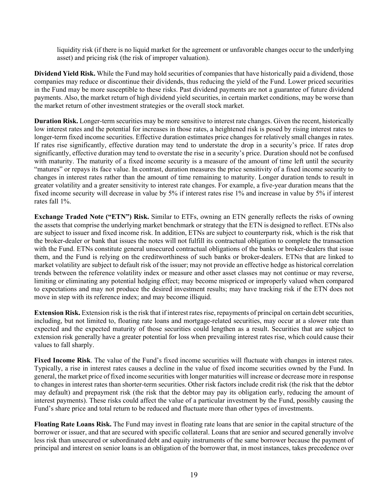liquidity risk (if there is no liquid market for the agreement or unfavorable changes occur to the underlying asset) and pricing risk (the risk of improper valuation).

**Dividend Yield Risk.** While the Fund may hold securities of companies that have historically paid a dividend, those companies may reduce or discontinue their dividends, thus reducing the yield of the Fund. Lower priced securities in the Fund may be more susceptible to these risks. Past dividend payments are not a guarantee of future dividend payments. Also, the market return of high dividend yield securities, in certain market conditions, may be worse than the market return of other investment strategies or the overall stock market.

**Duration Risk.** Longer-term securities may be more sensitive to interest rate changes. Given the recent, historically low interest rates and the potential for increases in those rates, a heightened risk is posed by rising interest rates to longer-term fixed income securities. Effective duration estimates price changes for relatively small changes in rates. If rates rise significantly, effective duration may tend to understate the drop in a security's price. If rates drop significantly, effective duration may tend to overstate the rise in a security's price. Duration should not be confused with maturity. The maturity of a fixed income security is a measure of the amount of time left until the security "matures" or repays its face value. In contrast, duration measures the price sensitivity of a fixed income security to changes in interest rates rather than the amount of time remaining to maturity. Longer duration tends to result in greater volatility and a greater sensitivity to interest rate changes. For example, a five-year duration means that the fixed income security will decrease in value by 5% if interest rates rise 1% and increase in value by 5% if interest rates fall 1%.

**Exchange Traded Note ("ETN") Risk.** Similar to ETFs, owning an ETN generally reflects the risks of owning the assets that comprise the underlying market benchmark or strategy that the ETN is designed to reflect. ETNs also are subject to issuer and fixed income risk. In addition, ETNs are subject to counterparty risk, which is the risk that the broker-dealer or bank that issues the notes will not fulfill its contractual obligation to complete the transaction with the Fund. ETNs constitute general unsecured contractual obligations of the banks or broker-dealers that issue them, and the Fund is relying on the creditworthiness of such banks or broker-dealers. ETNs that are linked to market volatility are subject to default risk of the issuer; may not provide an effective hedge as historical correlation trends between the reference volatility index or measure and other asset classes may not continue or may reverse, limiting or eliminating any potential hedging effect; may become mispriced or improperly valued when compared to expectations and may not produce the desired investment results; may have tracking risk if the ETN does not move in step with its reference index; and may become illiquid.

**Extension Risk.** Extension risk is the risk that if interest rates rise, repayments of principal on certain debt securities, including, but not limited to, floating rate loans and mortgage-related securities, may occur at a slower rate than expected and the expected maturity of those securities could lengthen as a result. Securities that are subject to extension risk generally have a greater potential for loss when prevailing interest rates rise, which could cause their values to fall sharply.

**Fixed Income Risk**. The value of the Fund's fixed income securities will fluctuate with changes in interest rates. Typically, a rise in interest rates causes a decline in the value of fixed income securities owned by the Fund. In general, the market price of fixed income securities with longer maturities will increase or decrease more in response to changes in interest rates than shorter-term securities. Other risk factors include credit risk (the risk that the debtor may default) and prepayment risk (the risk that the debtor may pay its obligation early, reducing the amount of interest payments). These risks could affect the value of a particular investment by the Fund, possibly causing the Fund's share price and total return to be reduced and fluctuate more than other types of investments.

**Floating Rate Loans Risk.** The Fund may invest in floating rate loans that are senior in the capital structure of the borrower or issuer, and that are secured with specific collateral. Loans that are senior and secured generally involve less risk than unsecured or subordinated debt and equity instruments of the same borrower because the payment of principal and interest on senior loans is an obligation of the borrower that, in most instances, takes precedence over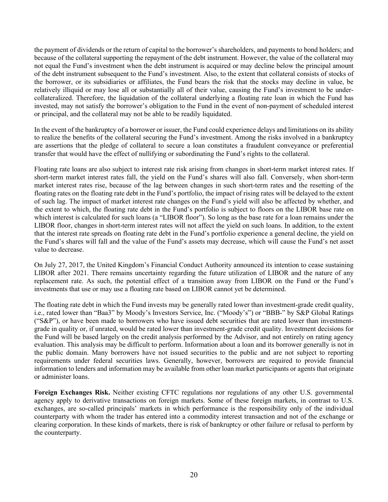the payment of dividends or the return of capital to the borrower's shareholders, and payments to bond holders; and because of the collateral supporting the repayment of the debt instrument. However, the value of the collateral may not equal the Fund's investment when the debt instrument is acquired or may decline below the principal amount of the debt instrument subsequent to the Fund's investment. Also, to the extent that collateral consists of stocks of the borrower, or its subsidiaries or affiliates, the Fund bears the risk that the stocks may decline in value, be relatively illiquid or may lose all or substantially all of their value, causing the Fund's investment to be undercollateralized. Therefore, the liquidation of the collateral underlying a floating rate loan in which the Fund has invested, may not satisfy the borrower's obligation to the Fund in the event of non-payment of scheduled interest or principal, and the collateral may not be able to be readily liquidated.

In the event of the bankruptcy of a borrower or issuer, the Fund could experience delays and limitations on its ability to realize the benefits of the collateral securing the Fund's investment. Among the risks involved in a bankruptcy are assertions that the pledge of collateral to secure a loan constitutes a fraudulent conveyance or preferential transfer that would have the effect of nullifying or subordinating the Fund's rights to the collateral.

Floating rate loans are also subject to interest rate risk arising from changes in short-term market interest rates. If short-term market interest rates fall, the yield on the Fund's shares will also fall. Conversely, when short-term market interest rates rise, because of the lag between changes in such short-term rates and the resetting of the floating rates on the floating rate debt in the Fund's portfolio, the impact of rising rates will be delayed to the extent of such lag. The impact of market interest rate changes on the Fund's yield will also be affected by whether, and the extent to which, the floating rate debt in the Fund's portfolio is subject to floors on the LIBOR base rate on which interest is calculated for such loans (a "LIBOR floor"). So long as the base rate for a loan remains under the LIBOR floor, changes in short-term interest rates will not affect the yield on such loans. In addition, to the extent that the interest rate spreads on floating rate debt in the Fund's portfolio experience a general decline, the yield on the Fund's shares will fall and the value of the Fund's assets may decrease, which will cause the Fund's net asset value to decrease.

On July 27, 2017, the United Kingdom's Financial Conduct Authority announced its intention to cease sustaining LIBOR after 2021. There remains uncertainty regarding the future utilization of LIBOR and the nature of any replacement rate. As such, the potential effect of a transition away from LIBOR on the Fund or the Fund's investments that use or may use a floating rate based on LIBOR cannot yet be determined.

The floating rate debt in which the Fund invests may be generally rated lower than investment-grade credit quality, i.e., rated lower than "Baa3" by Moody's Investors Service, Inc. ("Moody's") or "BBB-" by S&P Global Ratings ("S&P"), or have been made to borrowers who have issued debt securities that are rated lower than investmentgrade in quality or, if unrated, would be rated lower than investment-grade credit quality. Investment decisions for the Fund will be based largely on the credit analysis performed by the Advisor, and not entirely on rating agency evaluation. This analysis may be difficult to perform. Information about a loan and its borrower generally is not in the public domain. Many borrowers have not issued securities to the public and are not subject to reporting requirements under federal securities laws. Generally, however, borrowers are required to provide financial information to lenders and information may be available from other loan market participants or agents that originate or administer loans.

**Foreign Exchanges Risk.** Neither existing CFTC regulations nor regulations of any other U.S. governmental agency apply to derivative transactions on foreign markets. Some of these foreign markets, in contrast to U.S. exchanges, are so-called principals' markets in which performance is the responsibility only of the individual counterparty with whom the trader has entered into a commodity interest transaction and not of the exchange or clearing corporation. In these kinds of markets, there is risk of bankruptcy or other failure or refusal to perform by the counterparty.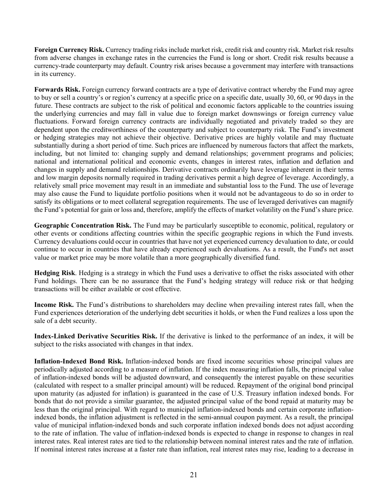**Foreign Currency Risk.** Currency trading risks include market risk, credit risk and country risk. Market risk results from adverse changes in exchange rates in the currencies the Fund is long or short. Credit risk results because a currency-trade counterparty may default. Country risk arises because a government may interfere with transactions in its currency.

**Forwards Risk.** Foreign currency forward contracts are a type of derivative contract whereby the Fund may agree to buy or sell a country's or region's currency at a specific price on a specific date, usually 30, 60, or 90 days in the future. These contracts are subject to the risk of political and economic factors applicable to the countries issuing the underlying currencies and may fall in value due to foreign market downswings or foreign currency value fluctuations. Forward foreign currency contracts are individually negotiated and privately traded so they are dependent upon the creditworthiness of the counterparty and subject to counterparty risk. The Fund's investment or hedging strategies may not achieve their objective. Derivative prices are highly volatile and may fluctuate substantially during a short period of time. Such prices are influenced by numerous factors that affect the markets, including, but not limited to: changing supply and demand relationships; government programs and policies; national and international political and economic events, changes in interest rates, inflation and deflation and changes in supply and demand relationships. Derivative contracts ordinarily have leverage inherent in their terms and low margin deposits normally required in trading derivatives permit a high degree of leverage. Accordingly, a relatively small price movement may result in an immediate and substantial loss to the Fund. The use of leverage may also cause the Fund to liquidate portfolio positions when it would not be advantageous to do so in order to satisfy its obligations or to meet collateral segregation requirements. The use of leveraged derivatives can magnify the Fund's potential for gain or loss and, therefore, amplify the effects of market volatility on the Fund's share price.

**Geographic Concentration Risk.** The Fund may be particularly susceptible to economic, political, regulatory or other events or conditions affecting countries within the specific geographic regions in which the Fund invests. Currency devaluations could occur in countries that have not yet experienced currency devaluation to date, or could continue to occur in countries that have already experienced such devaluations. As a result, the Fund's net asset value or market price may be more volatile than a more geographically diversified fund.

**Hedging Risk**. Hedging is a strategy in which the Fund uses a derivative to offset the risks associated with other Fund holdings. There can be no assurance that the Fund's hedging strategy will reduce risk or that hedging transactions will be either available or cost effective.

**Income Risk.** The Fund's distributions to shareholders may decline when prevailing interest rates fall, when the Fund experiences deterioration of the underlying debt securities it holds, or when the Fund realizes a loss upon the sale of a debt security.

**Index-Linked Derivative Securities Risk.** If the derivative is linked to the performance of an index, it will be subject to the risks associated with changes in that index.

**Inflation-Indexed Bond Risk.** Inflation-indexed bonds are fixed income securities whose principal values are periodically adjusted according to a measure of inflation. If the index measuring inflation falls, the principal value of inflation-indexed bonds will be adjusted downward, and consequently the interest payable on these securities (calculated with respect to a smaller principal amount) will be reduced. Repayment of the original bond principal upon maturity (as adjusted for inflation) is guaranteed in the case of U.S. Treasury inflation indexed bonds. For bonds that do not provide a similar guarantee, the adjusted principal value of the bond repaid at maturity may be less than the original principal. With regard to municipal inflation-indexed bonds and certain corporate inflationindexed bonds, the inflation adjustment is reflected in the semi-annual coupon payment. As a result, the principal value of municipal inflation-indexed bonds and such corporate inflation indexed bonds does not adjust according to the rate of inflation. The value of inflation-indexed bonds is expected to change in response to changes in real interest rates. Real interest rates are tied to the relationship between nominal interest rates and the rate of inflation. If nominal interest rates increase at a faster rate than inflation, real interest rates may rise, leading to a decrease in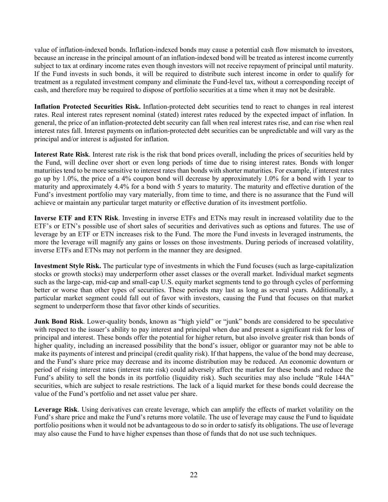value of inflation-indexed bonds. Inflation-indexed bonds may cause a potential cash flow mismatch to investors, because an increase in the principal amount of an inflation-indexed bond will be treated as interest income currently subject to tax at ordinary income rates even though investors will not receive repayment of principal until maturity. If the Fund invests in such bonds, it will be required to distribute such interest income in order to qualify for treatment as a regulated investment company and eliminate the Fund-level tax, without a corresponding receipt of cash, and therefore may be required to dispose of portfolio securities at a time when it may not be desirable.

**Inflation Protected Securities Risk.** Inflation-protected debt securities tend to react to changes in real interest rates. Real interest rates represent nominal (stated) interest rates reduced by the expected impact of inflation. In general, the price of an inflation-protected debt security can fall when real interest rates rise, and can rise when real interest rates fall. Interest payments on inflation-protected debt securities can be unpredictable and will vary as the principal and/or interest is adjusted for inflation.

**Interest Rate Risk**. Interest rate risk is the risk that bond prices overall, including the prices of securities held by the Fund, will decline over short or even long periods of time due to rising interest rates. Bonds with longer maturities tend to be more sensitive to interest rates than bonds with shorter maturities. For example, if interest rates go up by 1.0%, the price of a 4% coupon bond will decrease by approximately 1.0% for a bond with 1 year to maturity and approximately 4.4% for a bond with 5 years to maturity. The maturity and effective duration of the Fund's investment portfolio may vary materially, from time to time, and there is no assurance that the Fund will achieve or maintain any particular target maturity or effective duration of its investment portfolio.

**Inverse ETF and ETN Risk**. Investing in inverse ETFs and ETNs may result in increased volatility due to the ETF's or ETN's possible use of short sales of securities and derivatives such as options and futures. The use of leverage by an ETF or ETN increases risk to the Fund. The more the Fund invests in leveraged instruments, the more the leverage will magnify any gains or losses on those investments. During periods of increased volatility, inverse ETFs and ETNs may not perform in the manner they are designed.

**Investment Style Risk.** The particular type of investments in which the Fund focuses (such as large-capitalization stocks or growth stocks) may underperform other asset classes or the overall market. Individual market segments such as the large-cap, mid-cap and small-cap U.S. equity market segments tend to go through cycles of performing better or worse than other types of securities. These periods may last as long as several years. Additionally, a particular market segment could fall out of favor with investors, causing the Fund that focuses on that market segment to underperform those that favor other kinds of securities.

**Junk Bond Risk**. Lower-quality bonds, known as "high yield" or "junk" bonds are considered to be speculative with respect to the issuer's ability to pay interest and principal when due and present a significant risk for loss of principal and interest. These bonds offer the potential for higher return, but also involve greater risk than bonds of higher quality, including an increased possibility that the bond's issuer, obligor or guarantor may not be able to make its payments of interest and principal (credit quality risk). If that happens, the value of the bond may decrease, and the Fund's share price may decrease and its income distribution may be reduced. An economic downturn or period of rising interest rates (interest rate risk) could adversely affect the market for these bonds and reduce the Fund's ability to sell the bonds in its portfolio (liquidity risk). Such securities may also include "Rule 144A" securities, which are subject to resale restrictions. The lack of a liquid market for these bonds could decrease the value of the Fund's portfolio and net asset value per share.

**Leverage Risk**. Using derivatives can create leverage, which can amplify the effects of market volatility on the Fund's share price and make the Fund's returns more volatile. The use of leverage may cause the Fund to liquidate portfolio positions when it would not be advantageous to do so in order to satisfy its obligations. The use of leverage may also cause the Fund to have higher expenses than those of funds that do not use such techniques.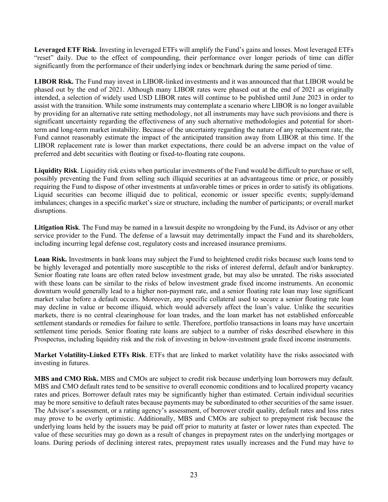**Leveraged ETF Risk**. Investing in leveraged ETFs will amplify the Fund's gains and losses. Most leveraged ETFs "reset" daily. Due to the effect of compounding, their performance over longer periods of time can differ significantly from the performance of their underlying index or benchmark during the same period of time.

**LIBOR Risk.** The Fund may invest in LIBOR-linked investments and it was announced that that LIBOR would be phased out by the end of 2021. Although many LIBOR rates were phased out at the end of 2021 as originally intended, a selection of widely used USD LIBOR rates will continue to be published until June 2023 in order to assist with the transition. While some instruments may contemplate a scenario where LIBOR is no longer available by providing for an alternative rate setting methodology, not all instruments may have such provisions and there is significant uncertainty regarding the effectiveness of any such alternative methodologies and potential for shortterm and long-term market instability. Because of the uncertainty regarding the nature of any replacement rate, the Fund cannot reasonably estimate the impact of the anticipated transition away from LIBOR at this time. If the LIBOR replacement rate is lower than market expectations, there could be an adverse impact on the value of preferred and debt securities with floating or fixed-to-floating rate coupons.

**Liquidity Risk**. Liquidity risk exists when particular investments of the Fund would be difficult to purchase or sell, possibly preventing the Fund from selling such illiquid securities at an advantageous time or price, or possibly requiring the Fund to dispose of other investments at unfavorable times or prices in order to satisfy its obligations. Liquid securities can become illiquid due to political, economic or issuer specific events; supply/demand imbalances; changes in a specific market's size or structure, including the number of participants; or overall market disruptions.

**Litigation Risk**. The Fund may be named in a lawsuit despite no wrongdoing by the Fund, its Advisor or any other service provider to the Fund. The defense of a lawsuit may detrimentally impact the Fund and its shareholders, including incurring legal defense cost, regulatory costs and increased insurance premiums.

**Loan Risk.** Investments in bank loans may subject the Fund to heightened credit risks because such loans tend to be highly leveraged and potentially more susceptible to the risks of interest deferral, default and/or bankruptcy. Senior floating rate loans are often rated below investment grade, but may also be unrated. The risks associated with these loans can be similar to the risks of below investment grade fixed income instruments. An economic downturn would generally lead to a higher non-payment rate, and a senior floating rate loan may lose significant market value before a default occurs. Moreover, any specific collateral used to secure a senior floating rate loan may decline in value or become illiquid, which would adversely affect the loan's value. Unlike the securities markets, there is no central clearinghouse for loan trades, and the loan market has not established enforceable settlement standards or remedies for failure to settle. Therefore, portfolio transactions in loans may have uncertain settlement time periods. Senior floating rate loans are subject to a number of risks described elsewhere in this Prospectus, including liquidity risk and the risk of investing in below-investment grade fixed income instruments.

**Market Volatility-Linked ETFs Risk**. ETFs that are linked to market volatility have the risks associated with investing in futures.

**MBS and CMO Risk.** MBS and CMOs are subject to credit risk because underlying loan borrowers may default. MBS and CMO default rates tend to be sensitive to overall economic conditions and to localized property vacancy rates and prices. Borrower default rates may be significantly higher than estimated. Certain individual securities may be more sensitive to default rates because payments may be subordinated to other securities of the same issuer. The Advisor's assessment, or a rating agency's assessment, of borrower credit quality, default rates and loss rates may prove to be overly optimistic. Additionally, MBS and CMOs are subject to prepayment risk because the underlying loans held by the issuers may be paid off prior to maturity at faster or lower rates than expected. The value of these securities may go down as a result of changes in prepayment rates on the underlying mortgages or loans. During periods of declining interest rates, prepayment rates usually increases and the Fund may have to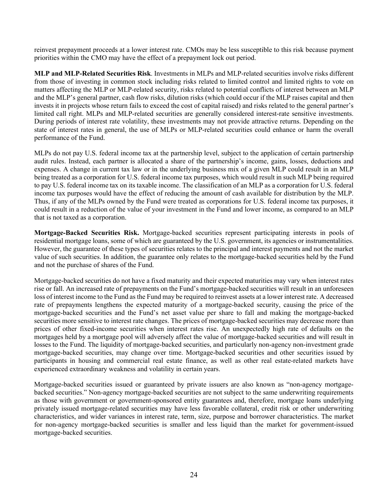reinvest prepayment proceeds at a lower interest rate. CMOs may be less susceptible to this risk because payment priorities within the CMO may have the effect of a prepayment lock out period.

**MLP and MLP-Related Securities Risk**. Investments in MLPs and MLP-related securities involve risks different from those of investing in common stock including risks related to limited control and limited rights to vote on matters affecting the MLP or MLP-related security, risks related to potential conflicts of interest between an MLP and the MLP's general partner, cash flow risks, dilution risks (which could occur if the MLP raises capital and then invests it in projects whose return fails to exceed the cost of capital raised) and risks related to the general partner's limited call right. MLPs and MLP-related securities are generally considered interest-rate sensitive investments. During periods of interest rate volatility, these investments may not provide attractive returns. Depending on the state of interest rates in general, the use of MLPs or MLP-related securities could enhance or harm the overall performance of the Fund.

MLPs do not pay U.S. federal income tax at the partnership level, subject to the application of certain partnership audit rules. Instead, each partner is allocated a share of the partnership's income, gains, losses, deductions and expenses. A change in current tax law or in the underlying business mix of a given MLP could result in an MLP being treated as a corporation for U.S. federal income tax purposes, which would result in such MLP being required to pay U.S. federal income tax on its taxable income. The classification of an MLP as a corporation for U.S. federal income tax purposes would have the effect of reducing the amount of cash available for distribution by the MLP. Thus, if any of the MLPs owned by the Fund were treated as corporations for U.S. federal income tax purposes, it could result in a reduction of the value of your investment in the Fund and lower income, as compared to an MLP that is not taxed as a corporation.

**Mortgage-Backed Securities Risk.** Mortgage-backed securities represent participating interests in pools of residential mortgage loans, some of which are guaranteed by the U.S. government, its agencies or instrumentalities. However, the guarantee of these types of securities relates to the principal and interest payments and not the market value of such securities. In addition, the guarantee only relates to the mortgage-backed securities held by the Fund and not the purchase of shares of the Fund.

Mortgage-backed securities do not have a fixed maturity and their expected maturities may vary when interest rates rise or fall. An increased rate of prepayments on the Fund's mortgage-backed securities will result in an unforeseen loss of interest income to the Fund as the Fund may be required to reinvest assets at a lower interest rate. A decreased rate of prepayments lengthens the expected maturity of a mortgage-backed security, causing the price of the mortgage-backed securities and the Fund's net asset value per share to fall and making the mortgage-backed securities more sensitive to interest rate changes. The prices of mortgage-backed securities may decrease more than prices of other fixed-income securities when interest rates rise. An unexpectedly high rate of defaults on the mortgages held by a mortgage pool will adversely affect the value of mortgage-backed securities and will result in losses to the Fund. The liquidity of mortgage-backed securities, and particularly non-agency non-investment grade mortgage-backed securities, may change over time. Mortgage-backed securities and other securities issued by participants in housing and commercial real estate finance, as well as other real estate-related markets have experienced extraordinary weakness and volatility in certain years.

Mortgage-backed securities issued or guaranteed by private issuers are also known as "non-agency mortgagebacked securities." Non-agency mortgage-backed securities are not subject to the same underwriting requirements as those with government or government-sponsored entity guarantees and, therefore, mortgage loans underlying privately issued mortgage-related securities may have less favorable collateral, credit risk or other underwriting characteristics, and wider variances in interest rate, term, size, purpose and borrower characteristics. The market for non-agency mortgage-backed securities is smaller and less liquid than the market for government-issued mortgage-backed securities.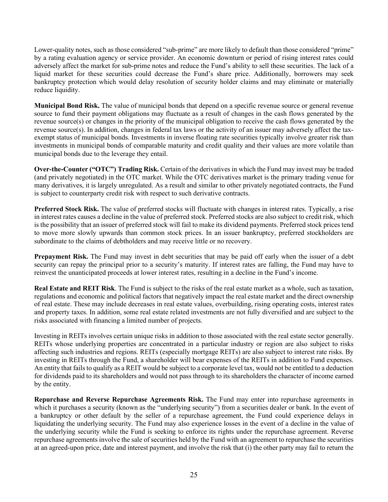Lower-quality notes, such as those considered "sub-prime" are more likely to default than those considered "prime" by a rating evaluation agency or service provider. An economic downturn or period of rising interest rates could adversely affect the market for sub-prime notes and reduce the Fund's ability to sell these securities. The lack of a liquid market for these securities could decrease the Fund's share price. Additionally, borrowers may seek bankruptcy protection which would delay resolution of security holder claims and may eliminate or materially reduce liquidity.

**Municipal Bond Risk.** The value of municipal bonds that depend on a specific revenue source or general revenue source to fund their payment obligations may fluctuate as a result of changes in the cash flows generated by the revenue source(s) or changes in the priority of the municipal obligation to receive the cash flows generated by the revenue source(s). In addition, changes in federal tax laws or the activity of an issuer may adversely affect the taxexempt status of municipal bonds. Investments in inverse floating rate securities typically involve greater risk than investments in municipal bonds of comparable maturity and credit quality and their values are more volatile than municipal bonds due to the leverage they entail.

**Over-the-Counter ("OTC") Trading Risk.** Certain of the derivatives in which the Fund may invest may be traded (and privately negotiated) in the OTC market. While the OTC derivatives market is the primary trading venue for many derivatives, it is largely unregulated. As a result and similar to other privately negotiated contracts, the Fund is subject to counterparty credit risk with respect to such derivative contracts.

**Preferred Stock Risk.** The value of preferred stocks will fluctuate with changes in interest rates. Typically, a rise in interest rates causes a decline in the value of preferred stock. Preferred stocks are also subject to credit risk, which is the possibility that an issuer of preferred stock will fail to make its dividend payments. Preferred stock prices tend to move more slowly upwards than common stock prices. In an issuer bankruptcy, preferred stockholders are subordinate to the claims of debtholders and may receive little or no recovery.

**Prepayment Risk.** The Fund may invest in debt securities that may be paid off early when the issuer of a debt security can repay the principal prior to a security's maturity. If interest rates are falling, the Fund may have to reinvest the unanticipated proceeds at lower interest rates, resulting in a decline in the Fund's income.

**Real Estate and REIT Risk**. The Fund is subject to the risks of the real estate market as a whole, such as taxation, regulations and economic and political factors that negatively impact the real estate market and the direct ownership of real estate. These may include decreases in real estate values, overbuilding, rising operating costs, interest rates and property taxes. In addition, some real estate related investments are not fully diversified and are subject to the risks associated with financing a limited number of projects.

Investing in REITs involves certain unique risks in addition to those associated with the real estate sector generally. REITs whose underlying properties are concentrated in a particular industry or region are also subject to risks affecting such industries and regions. REITs (especially mortgage REITs) are also subject to interest rate risks. By investing in REITs through the Fund, a shareholder will bear expenses of the REITs in addition to Fund expenses. An entity that fails to qualify as a REIT would be subject to a corporate level tax, would not be entitled to a deduction for dividends paid to its shareholders and would not pass through to its shareholders the character of income earned by the entity.

**Repurchase and Reverse Repurchase Agreements Risk.** The Fund may enter into repurchase agreements in which it purchases a security (known as the "underlying security") from a securities dealer or bank. In the event of a bankruptcy or other default by the seller of a repurchase agreement, the Fund could experience delays in liquidating the underlying security. The Fund may also experience losses in the event of a decline in the value of the underlying security while the Fund is seeking to enforce its rights under the repurchase agreement. Reverse repurchase agreements involve the sale of securities held by the Fund with an agreement to repurchase the securities at an agreed-upon price, date and interest payment, and involve the risk that (i) the other party may fail to return the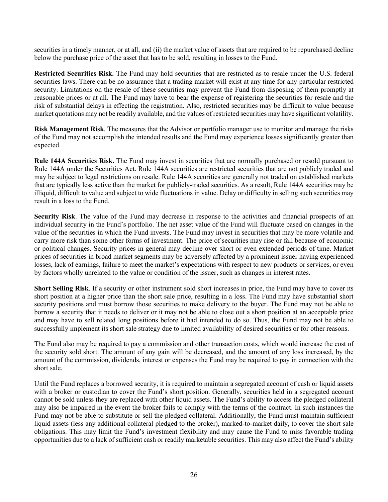securities in a timely manner, or at all, and (ii) the market value of assets that are required to be repurchased decline below the purchase price of the asset that has to be sold, resulting in losses to the Fund.

**Restricted Securities Risk.** The Fund may hold securities that are restricted as to resale under the U.S. federal securities laws. There can be no assurance that a trading market will exist at any time for any particular restricted security. Limitations on the resale of these securities may prevent the Fund from disposing of them promptly at reasonable prices or at all. The Fund may have to bear the expense of registering the securities for resale and the risk of substantial delays in effecting the registration. Also, restricted securities may be difficult to value because market quotations may not be readily available, and the values of restricted securities may have significant volatility.

**Risk Management Risk**. The measures that the Advisor or portfolio manager use to monitor and manage the risks of the Fund may not accomplish the intended results and the Fund may experience losses significantly greater than expected.

**Rule 144A Securities Risk.** The Fund may invest in securities that are normally purchased or resold pursuant to Rule 144A under the Securities Act. Rule 144A securities are restricted securities that are not publicly traded and may be subject to legal restrictions on resale. Rule 144A securities are generally not traded on established markets that are typically less active than the market for publicly-traded securities. As a result, Rule 144A securities may be illiquid, difficult to value and subject to wide fluctuations in value. Delay or difficulty in selling such securities may result in a loss to the Fund.

**Security Risk**. The value of the Fund may decrease in response to the activities and financial prospects of an individual security in the Fund's portfolio. The net asset value of the Fund will fluctuate based on changes in the value of the securities in which the Fund invests. The Fund may invest in securities that may be more volatile and carry more risk than some other forms of investment. The price of securities may rise or fall because of economic or political changes. Security prices in general may decline over short or even extended periods of time. Market prices of securities in broad market segments may be adversely affected by a prominent issuer having experienced losses, lack of earnings, failure to meet the market's expectations with respect to new products or services, or even by factors wholly unrelated to the value or condition of the issuer, such as changes in interest rates.

**Short Selling Risk**. If a security or other instrument sold short increases in price, the Fund may have to cover its short position at a higher price than the short sale price, resulting in a loss. The Fund may have substantial short security positions and must borrow those securities to make delivery to the buyer. The Fund may not be able to borrow a security that it needs to deliver or it may not be able to close out a short position at an acceptable price and may have to sell related long positions before it had intended to do so. Thus, the Fund may not be able to successfully implement its short sale strategy due to limited availability of desired securities or for other reasons.

The Fund also may be required to pay a commission and other transaction costs, which would increase the cost of the security sold short. The amount of any gain will be decreased, and the amount of any loss increased, by the amount of the commission, dividends, interest or expenses the Fund may be required to pay in connection with the short sale.

Until the Fund replaces a borrowed security, it is required to maintain a segregated account of cash or liquid assets with a broker or custodian to cover the Fund's short position. Generally, securities held in a segregated account cannot be sold unless they are replaced with other liquid assets. The Fund's ability to access the pledged collateral may also be impaired in the event the broker fails to comply with the terms of the contract. In such instances the Fund may not be able to substitute or sell the pledged collateral. Additionally, the Fund must maintain sufficient liquid assets (less any additional collateral pledged to the broker), marked-to-market daily, to cover the short sale obligations. This may limit the Fund's investment flexibility and may cause the Fund to miss favorable trading opportunities due to a lack of sufficient cash or readily marketable securities. This may also affect the Fund's ability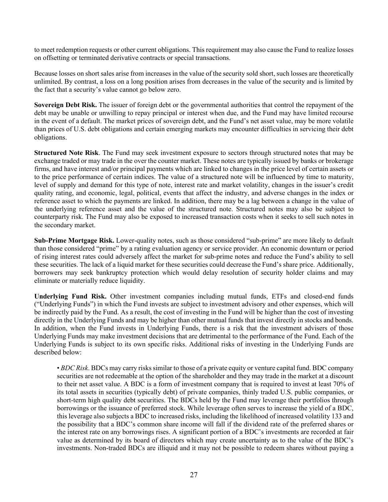to meet redemption requests or other current obligations. This requirement may also cause the Fund to realize losses on offsetting or terminated derivative contracts or special transactions.

Because losses on short sales arise from increases in the value of the security sold short, such losses are theoretically unlimited. By contrast, a loss on a long position arises from decreases in the value of the security and is limited by the fact that a security's value cannot go below zero.

**Sovereign Debt Risk.** The issuer of foreign debt or the governmental authorities that control the repayment of the debt may be unable or unwilling to repay principal or interest when due, and the Fund may have limited recourse in the event of a default. The market prices of sovereign debt, and the Fund's net asset value, may be more volatile than prices of U.S. debt obligations and certain emerging markets may encounter difficulties in servicing their debt obligations.

**Structured Note Risk**. The Fund may seek investment exposure to sectors through structured notes that may be exchange traded or may trade in the over the counter market. These notes are typically issued by banks or brokerage firms, and have interest and/or principal payments which are linked to changes in the price level of certain assets or to the price performance of certain indices. The value of a structured note will be influenced by time to maturity, level of supply and demand for this type of note, interest rate and market volatility, changes in the issuer's credit quality rating, and economic, legal, political, events that affect the industry, and adverse changes in the index or reference asset to which the payments are linked. In addition, there may be a lag between a change in the value of the underlying reference asset and the value of the structured note. Structured notes may also be subject to counterparty risk. The Fund may also be exposed to increased transaction costs when it seeks to sell such notes in the secondary market.

**Sub-Prime Mortgage Risk.** Lower-quality notes, such as those considered "sub-prime" are more likely to default than those considered "prime" by a rating evaluation agency or service provider. An economic downturn or period of rising interest rates could adversely affect the market for sub-prime notes and reduce the Fund's ability to sell these securities. The lack of a liquid market for these securities could decrease the Fund's share price. Additionally, borrowers may seek bankruptcy protection which would delay resolution of security holder claims and may eliminate or materially reduce liquidity.

**Underlying Fund Risk.** Other investment companies including mutual funds, ETFs and closed-end funds ("Underlying Funds") in which the Fund invests are subject to investment advisory and other expenses, which will be indirectly paid by the Fund. As a result, the cost of investing in the Fund will be higher than the cost of investing directly in the Underlying Funds and may be higher than other mutual funds that invest directly in stocks and bonds. In addition, when the Fund invests in Underlying Funds, there is a risk that the investment advisers of those Underlying Funds may make investment decisions that are detrimental to the performance of the Fund. Each of the Underlying Funds is subject to its own specific risks. Additional risks of investing in the Underlying Funds are described below:

• *BDC Risk*. BDCs may carry risks similar to those of a private equity or venture capital fund. BDC company securities are not redeemable at the option of the shareholder and they may trade in the market at a discount to their net asset value. A BDC is a form of investment company that is required to invest at least 70% of its total assets in securities (typically debt) of private companies, thinly traded U.S. public companies, or short-term high quality debt securities. The BDCs held by the Fund may leverage their portfolios through borrowings or the issuance of preferred stock. While leverage often serves to increase the yield of a BDC, this leverage also subjects a BDC to increased risks, including the likelihood of increased volatility 133 and the possibility that a BDC's common share income will fall if the dividend rate of the preferred shares or the interest rate on any borrowings rises. A significant portion of a BDC's investments are recorded at fair value as determined by its board of directors which may create uncertainty as to the value of the BDC's investments. Non-traded BDCs are illiquid and it may not be possible to redeem shares without paying a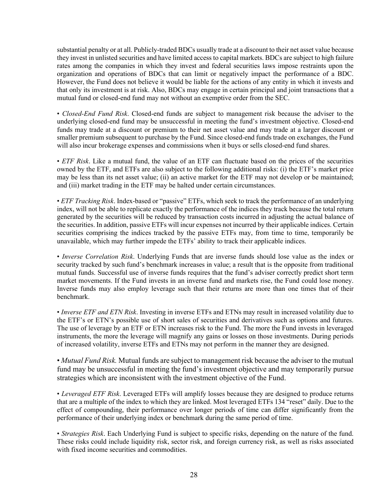substantial penalty or at all. Publicly-traded BDCs usually trade at a discount to their net asset value because they invest in unlisted securities and have limited access to capital markets. BDCs are subject to high failure rates among the companies in which they invest and federal securities laws impose restraints upon the organization and operations of BDCs that can limit or negatively impact the performance of a BDC. However, the Fund does not believe it would be liable for the actions of any entity in which it invests and that only its investment is at risk. Also, BDCs may engage in certain principal and joint transactions that a mutual fund or closed-end fund may not without an exemptive order from the SEC.

• *Closed-End Fund Risk*. Closed-end funds are subject to management risk because the adviser to the underlying closed-end fund may be unsuccessful in meeting the fund's investment objective. Closed-end funds may trade at a discount or premium to their net asset value and may trade at a larger discount or smaller premium subsequent to purchase by the Fund. Since closed-end funds trade on exchanges, the Fund will also incur brokerage expenses and commissions when it buys or sells closed-end fund shares.

• *ETF Risk*. Like a mutual fund, the value of an ETF can fluctuate based on the prices of the securities owned by the ETF, and ETFs are also subject to the following additional risks: (i) the ETF's market price may be less than its net asset value; (ii) an active market for the ETF may not develop or be maintained; and (iii) market trading in the ETF may be halted under certain circumstances.

• *ETF Tracking Risk*. Index-based or "passive" ETFs, which seek to track the performance of an underlying index, will not be able to replicate exactly the performance of the indices they track because the total return generated by the securities will be reduced by transaction costs incurred in adjusting the actual balance of the securities. In addition, passive ETFs will incur expenses not incurred by their applicable indices. Certain securities comprising the indices tracked by the passive ETFs may, from time to time, temporarily be unavailable, which may further impede the ETFs' ability to track their applicable indices.

• *Inverse Correlation Risk*. Underlying Funds that are inverse funds should lose value as the index or security tracked by such fund's benchmark increases in value; a result that is the opposite from traditional mutual funds. Successful use of inverse funds requires that the fund's adviser correctly predict short term market movements. If the Fund invests in an inverse fund and markets rise, the Fund could lose money. Inverse funds may also employ leverage such that their returns are more than one times that of their benchmark.

• *Inverse ETF and ETN Risk*. Investing in inverse ETFs and ETNs may result in increased volatility due to the ETF's or ETN's possible use of short sales of securities and derivatives such as options and futures. The use of leverage by an ETF or ETN increases risk to the Fund. The more the Fund invests in leveraged instruments, the more the leverage will magnify any gains or losses on those investments. During periods of increased volatility, inverse ETFs and ETNs may not perform in the manner they are designed.

• *Mutual Fund Risk.* Mutual funds are subject to management risk because the adviser to the mutual fund may be unsuccessful in meeting the fund's investment objective and may temporarily pursue strategies which are inconsistent with the investment objective of the Fund.

• *Leveraged ETF Risk*. Leveraged ETFs will amplify losses because they are designed to produce returns that are a multiple of the index to which they are linked. Most leveraged ETFs 134 "reset" daily. Due to the effect of compounding, their performance over longer periods of time can differ significantly from the performance of their underlying index or benchmark during the same period of time.

• *Strategies Risk*. Each Underlying Fund is subject to specific risks, depending on the nature of the fund. These risks could include liquidity risk, sector risk, and foreign currency risk, as well as risks associated with fixed income securities and commodities.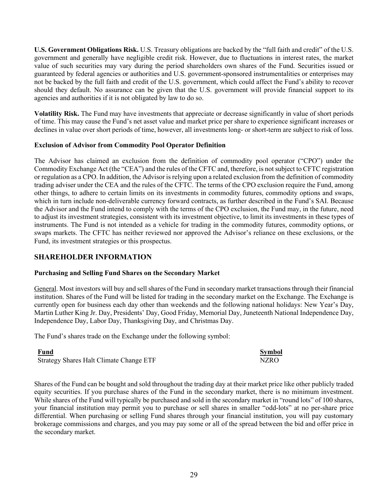**U.S. Government Obligations Risk.** U.S. Treasury obligations are backed by the "full faith and credit" of the U.S. government and generally have negligible credit risk. However, due to fluctuations in interest rates, the market value of such securities may vary during the period shareholders own shares of the Fund. Securities issued or guaranteed by federal agencies or authorities and U.S. government-sponsored instrumentalities or enterprises may not be backed by the full faith and credit of the U.S. government, which could affect the Fund's ability to recover should they default. No assurance can be given that the U.S. government will provide financial support to its agencies and authorities if it is not obligated by law to do so.

**Volatility Risk.** The Fund may have investments that appreciate or decrease significantly in value of short periods of time. This may cause the Fund's net asset value and market price per share to experience significant increases or declines in value over short periods of time, however, all investments long- or short-term are subject to risk of loss.

# **Exclusion of Advisor from Commodity Pool Operator Definition**

The Advisor has claimed an exclusion from the definition of commodity pool operator ("CPO") under the Commodity Exchange Act (the "CEA") and the rules of the CFTC and, therefore, is not subject to CFTC registration or regulation as a CPO. In addition, the Advisor is relying upon a related exclusion from the definition of commodity trading adviser under the CEA and the rules of the CFTC. The terms of the CPO exclusion require the Fund, among other things, to adhere to certain limits on its investments in commodity futures, commodity options and swaps, which in turn include non-deliverable currency forward contracts, as further described in the Fund's SAI. Because the Advisor and the Fund intend to comply with the terms of the CPO exclusion, the Fund may, in the future, need to adjust its investment strategies, consistent with its investment objective, to limit its investments in these types of instruments. The Fund is not intended as a vehicle for trading in the commodity futures, commodity options, or swaps markets. The CFTC has neither reviewed nor approved the Advisor's reliance on these exclusions, or the Fund, its investment strategies or this prospectus.

# <span id="page-30-0"></span>**SHAREHOLDER INFORMATION**

# **Purchasing and Selling Fund Shares on the Secondary Market**

General. Most investors will buy and sell shares of the Fund in secondary market transactions through their financial institution. Shares of the Fund will be listed for trading in the secondary market on the Exchange. The Exchange is currently open for business each day other than weekends and the following national holidays: New Year's Day, Martin Luther King Jr. Day, Presidents' Day, Good Friday, Memorial Day, Juneteenth National Independence Day, Independence Day, Labor Day, Thanksgiving Day, and Christmas Day.

The Fund's shares trade on the Exchange under the following symbol:

| Fund                                    | Symbol      |
|-----------------------------------------|-------------|
| Strategy Shares Halt Climate Change ETF | <b>NZRO</b> |

Shares of the Fund can be bought and sold throughout the trading day at their market price like other publicly traded equity securities. If you purchase shares of the Fund in the secondary market, there is no minimum investment. While shares of the Fund will typically be purchased and sold in the secondary market in "round lots" of 100 shares, your financial institution may permit you to purchase or sell shares in smaller "odd-lots" at no per-share price differential. When purchasing or selling Fund shares through your financial institution, you will pay customary brokerage commissions and charges, and you may pay some or all of the spread between the bid and offer price in the secondary market.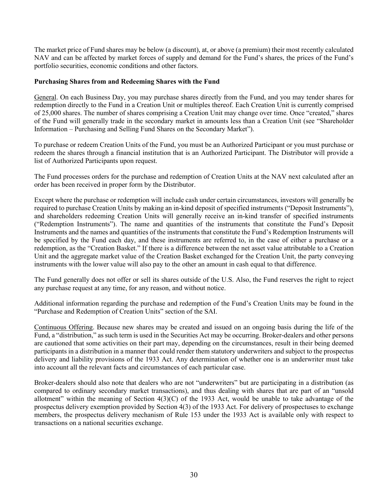The market price of Fund shares may be below (a discount), at, or above (a premium) their most recently calculated NAV and can be affected by market forces of supply and demand for the Fund's shares, the prices of the Fund's portfolio securities, economic conditions and other factors.

# **Purchasing Shares from and Redeeming Shares with the Fund**

General. On each Business Day, you may purchase shares directly from the Fund, and you may tender shares for redemption directly to the Fund in a Creation Unit or multiples thereof. Each Creation Unit is currently comprised of 25,000 shares. The number of shares comprising a Creation Unit may change over time. Once "created," shares of the Fund will generally trade in the secondary market in amounts less than a Creation Unit (see "Shareholder Information – Purchasing and Selling Fund Shares on the Secondary Market").

To purchase or redeem Creation Units of the Fund, you must be an Authorized Participant or you must purchase or redeem the shares through a financial institution that is an Authorized Participant. The Distributor will provide a list of Authorized Participants upon request.

The Fund processes orders for the purchase and redemption of Creation Units at the NAV next calculated after an order has been received in proper form by the Distributor.

Except where the purchase or redemption will include cash under certain circumstances, investors will generally be required to purchase Creation Units by making an in-kind deposit of specified instruments ("Deposit Instruments"), and shareholders redeeming Creation Units will generally receive an in-kind transfer of specified instruments ("Redemption Instruments"). The name and quantities of the instruments that constitute the Fund's Deposit Instruments and the names and quantities of the instruments that constitute the Fund's Redemption Instruments will be specified by the Fund each day, and these instruments are referred to, in the case of either a purchase or a redemption, as the "Creation Basket." If there is a difference between the net asset value attributable to a Creation Unit and the aggregate market value of the Creation Basket exchanged for the Creation Unit, the party conveying instruments with the lower value will also pay to the other an amount in cash equal to that difference.

The Fund generally does not offer or sell its shares outside of the U.S. Also, the Fund reserves the right to reject any purchase request at any time, for any reason, and without notice.

Additional information regarding the purchase and redemption of the Fund's Creation Units may be found in the "Purchase and Redemption of Creation Units" section of the SAI.

Continuous Offering. Because new shares may be created and issued on an ongoing basis during the life of the Fund, a "distribution," as such term is used in the Securities Act may be occurring. Broker-dealers and other persons are cautioned that some activities on their part may, depending on the circumstances, result in their being deemed participants in a distribution in a manner that could render them statutory underwriters and subject to the prospectus delivery and liability provisions of the 1933 Act. Any determination of whether one is an underwriter must take into account all the relevant facts and circumstances of each particular case.

Broker-dealers should also note that dealers who are not "underwriters" but are participating in a distribution (as compared to ordinary secondary market transactions), and thus dealing with shares that are part of an "unsold allotment" within the meaning of Section 4(3)(C) of the 1933 Act, would be unable to take advantage of the prospectus delivery exemption provided by Section 4(3) of the 1933 Act. For delivery of prospectuses to exchange members, the prospectus delivery mechanism of Rule 153 under the 1933 Act is available only with respect to transactions on a national securities exchange.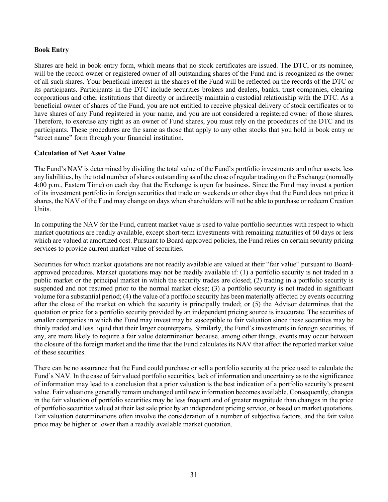# **Book Entry**

Shares are held in book-entry form, which means that no stock certificates are issued. The DTC, or its nominee, will be the record owner or registered owner of all outstanding shares of the Fund and is recognized as the owner of all such shares. Your beneficial interest in the shares of the Fund will be reflected on the records of the DTC or its participants. Participants in the DTC include securities brokers and dealers, banks, trust companies, clearing corporations and other institutions that directly or indirectly maintain a custodial relationship with the DTC. As a beneficial owner of shares of the Fund, you are not entitled to receive physical delivery of stock certificates or to have shares of any Fund registered in your name, and you are not considered a registered owner of those shares. Therefore, to exercise any right as an owner of Fund shares, you must rely on the procedures of the DTC and its participants. These procedures are the same as those that apply to any other stocks that you hold in book entry or "street name" form through your financial institution.

# **Calculation of Net Asset Value**

The Fund's NAV is determined by dividing the total value of the Fund's portfolio investments and other assets, less any liabilities, by the total number of shares outstanding as of the close of regular trading on the Exchange (normally 4:00 p.m., Eastern Time) on each day that the Exchange is open for business. Since the Fund may invest a portion of its investment portfolio in foreign securities that trade on weekends or other days that the Fund does not price it shares, the NAV of the Fund may change on days when shareholders will not be able to purchase or redeem Creation Units.

In computing the NAV for the Fund, current market value is used to value portfolio securities with respect to which market quotations are readily available, except short-term investments with remaining maturities of 60 days or less which are valued at amortized cost. Pursuant to Board-approved policies, the Fund relies on certain security pricing services to provide current market value of securities.

Securities for which market quotations are not readily available are valued at their "fair value" pursuant to Boardapproved procedures. Market quotations may not be readily available if: (1) a portfolio security is not traded in a public market or the principal market in which the security trades are closed; (2) trading in a portfolio security is suspended and not resumed prior to the normal market close; (3) a portfolio security is not traded in significant volume for a substantial period; (4) the value of a portfolio security has been materially affected by events occurring after the close of the market on which the security is principally traded; or (5) the Advisor determines that the quotation or price for a portfolio security provided by an independent pricing source is inaccurate. The securities of smaller companies in which the Fund may invest may be susceptible to fair valuation since these securities may be thinly traded and less liquid that their larger counterparts. Similarly, the Fund's investments in foreign securities, if any, are more likely to require a fair value determination because, among other things, events may occur between the closure of the foreign market and the time that the Fund calculates its NAV that affect the reported market value of these securities.

There can be no assurance that the Fund could purchase or sell a portfolio security at the price used to calculate the Fund's NAV. In the case of fair valued portfolio securities, lack of information and uncertainty as to the significance of information may lead to a conclusion that a prior valuation is the best indication of a portfolio security's present value. Fair valuations generally remain unchanged until new information becomes available. Consequently, changes in the fair valuation of portfolio securities may be less frequent and of greater magnitude than changes in the price of portfolio securities valued at their last sale price by an independent pricing service, or based on market quotations. Fair valuation determinations often involve the consideration of a number of subjective factors, and the fair value price may be higher or lower than a readily available market quotation.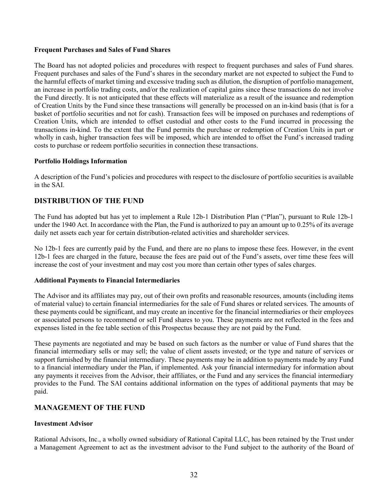# **Frequent Purchases and Sales of Fund Shares**

The Board has not adopted policies and procedures with respect to frequent purchases and sales of Fund shares. Frequent purchases and sales of the Fund's shares in the secondary market are not expected to subject the Fund to the harmful effects of market timing and excessive trading such as dilution, the disruption of portfolio management, an increase in portfolio trading costs, and/or the realization of capital gains since these transactions do not involve the Fund directly. It is not anticipated that these effects will materialize as a result of the issuance and redemption of Creation Units by the Fund since these transactions will generally be processed on an in-kind basis (that is for a basket of portfolio securities and not for cash). Transaction fees will be imposed on purchases and redemptions of Creation Units, which are intended to offset custodial and other costs to the Fund incurred in processing the transactions in-kind. To the extent that the Fund permits the purchase or redemption of Creation Units in part or wholly in cash, higher transaction fees will be imposed, which are intended to offset the Fund's increased trading costs to purchase or redeem portfolio securities in connection these transactions.

#### **Portfolio Holdings Information**

A description of the Fund's policies and procedures with respect to the disclosure of portfolio securities is available in the SAI.

# <span id="page-33-0"></span>**DISTRIBUTION OF THE FUND**

The Fund has adopted but has yet to implement a Rule 12b-1 Distribution Plan ("Plan"), pursuant to Rule 12b-1 under the 1940 Act. In accordance with the Plan, the Fund is authorized to pay an amount up to 0.25% of its average daily net assets each year for certain distribution-related activities and shareholder services.

No 12b-1 fees are currently paid by the Fund, and there are no plans to impose these fees. However, in the event 12b-1 fees are charged in the future, because the fees are paid out of the Fund's assets, over time these fees will increase the cost of your investment and may cost you more than certain other types of sales charges.

# **Additional Payments to Financial Intermediaries**

The Advisor and its affiliates may pay, out of their own profits and reasonable resources, amounts (including items of material value) to certain financial intermediaries for the sale of Fund shares or related services. The amounts of these payments could be significant, and may create an incentive for the financial intermediaries or their employees or associated persons to recommend or sell Fund shares to you. These payments are not reflected in the fees and expenses listed in the fee table section of this Prospectus because they are not paid by the Fund.

These payments are negotiated and may be based on such factors as the number or value of Fund shares that the financial intermediary sells or may sell; the value of client assets invested; or the type and nature of services or support furnished by the financial intermediary. These payments may be in addition to payments made by any Fund to a financial intermediary under the Plan, if implemented. Ask your financial intermediary for information about any payments it receives from the Advisor, their affiliates, or the Fund and any services the financial intermediary provides to the Fund. The SAI contains additional information on the types of additional payments that may be paid.

# <span id="page-33-1"></span>**MANAGEMENT OF THE FUND**

# **Investment Advisor**

Rational Advisors, Inc., a wholly owned subsidiary of Rational Capital LLC, has been retained by the Trust under a Management Agreement to act as the investment advisor to the Fund subject to the authority of the Board of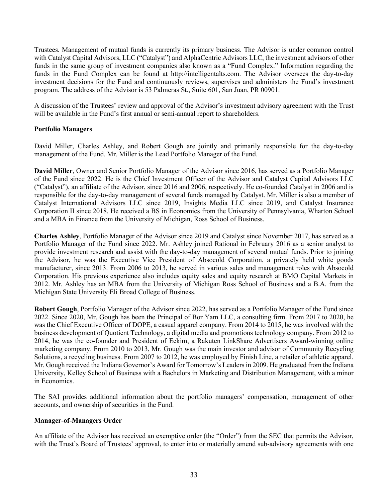Trustees. Management of mutual funds is currently its primary business. The Advisor is under common control with Catalyst Capital Advisors, LLC ("Catalyst") and AlphaCentric Advisors LLC, the investment advisors of other funds in the same group of investment companies also known as a "Fund Complex." Information regarding the funds in the Fund Complex can be found at http://intelligentalts.com. The Advisor oversees the day-to-day investment decisions for the Fund and continuously reviews, supervises and administers the Fund's investment program. The address of the Advisor is 53 Palmeras St., Suite 601, San Juan, PR 00901.

A discussion of the Trustees' review and approval of the Advisor's investment advisory agreement with the Trust will be available in the Fund's first annual or semi-annual report to shareholders.

# **Portfolio Managers**

David Miller, Charles Ashley, and Robert Gough are jointly and primarily responsible for the day-to-day management of the Fund. Mr. Miller is the Lead Portfolio Manager of the Fund.

**David Miller**, Owner and Senior Portfolio Manager of the Advisor since 2016, has served as a Portfolio Manager of the Fund since 2022. He is the Chief Investment Officer of the Advisor and Catalyst Capital Advisors LLC ("Catalyst"), an affiliate of the Advisor, since 2016 and 2006, respectively. He co-founded Catalyst in 2006 and is responsible for the day-to-day management of several funds managed by Catalyst. Mr. Miller is also a member of Catalyst International Advisors LLC since 2019, Insights Media LLC since 2019, and Catalyst Insurance Corporation II since 2018. He received a BS in Economics from the University of Pennsylvania, Wharton School and a MBA in Finance from the University of Michigan, Ross School of Business.

**Charles Ashley**, Portfolio Manager of the Advisor since 2019 and Catalyst since November 2017, has served as a Portfolio Manager of the Fund since 2022. Mr. Ashley joined Rational in February 2016 as a senior analyst to provide investment research and assist with the day-to-day management of several mutual funds. Prior to joining the Advisor, he was the Executive Vice President of Absocold Corporation, a privately held white goods manufacturer, since 2013. From 2006 to 2013, he served in various sales and management roles with Absocold Corporation. His previous experience also includes equity sales and equity research at BMO Capital Markets in 2012. Mr. Ashley has an MBA from the University of Michigan Ross School of Business and a B.A. from the Michigan State University Eli Broad College of Business.

**Robert Gough**, Portfolio Manager of the Advisor since 2022, has served as a Portfolio Manager of the Fund since 2022. Since 2020, Mr. Gough has been the Principal of Bor Yam LLC, a consulting firm. From 2017 to 2020, he was the Chief Executive Officer of DOPE, a casual apparel company. From 2014 to 2015, he was involved with the business development of Quotient Technology, a digital media and promotions technology company. From 2012 to 2014, he was the co-founder and President of Eckim, a Rakuten LinkShare Advertisers Award-winning online marketing company. From 2010 to 2013, Mr. Gough was the main investor and advisor of Community Recycling Solutions, a recycling business. From 2007 to 2012, he was employed by Finish Line, a retailer of athletic apparel. Mr. Gough received the Indiana Governor's Award for Tomorrow's Leaders in 2009. He graduated from the Indiana University, Kelley School of Business with a Bachelors in Marketing and Distribution Management, with a minor in Economics.

The SAI provides additional information about the portfolio managers' compensation, management of other accounts, and ownership of securities in the Fund.

# **Manager-of-Managers Order**

An affiliate of the Advisor has received an exemptive order (the "Order") from the SEC that permits the Advisor, with the Trust's Board of Trustees' approval, to enter into or materially amend sub-advisory agreements with one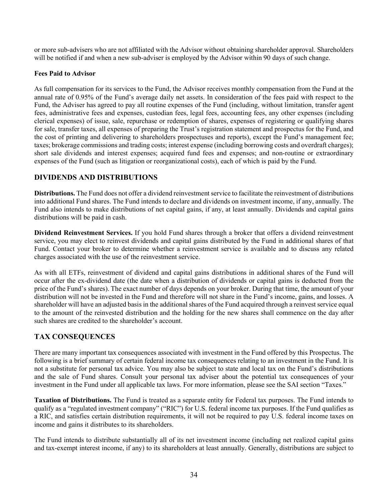or more sub-advisers who are not affiliated with the Advisor without obtaining shareholder approval. Shareholders will be notified if and when a new sub-adviser is employed by the Advisor within 90 days of such change.

# **Fees Paid to Advisor**

As full compensation for its services to the Fund, the Advisor receives monthly compensation from the Fund at the annual rate of 0.95% of the Fund's average daily net assets. In consideration of the fees paid with respect to the Fund, the Adviser has agreed to pay all routine expenses of the Fund (including, without limitation, transfer agent fees, administrative fees and expenses, custodian fees, legal fees, accounting fees, any other expenses (including clerical expenses) of issue, sale, repurchase or redemption of shares, expenses of registering or qualifying shares for sale, transfer taxes, all expenses of preparing the Trust's registration statement and prospectus for the Fund, and the cost of printing and delivering to shareholders prospectuses and reports), except the Fund's management fee; taxes; brokerage commissions and trading costs; interest expense (including borrowing costs and overdraft charges); short sale dividends and interest expenses; acquired fund fees and expenses; and non-routine or extraordinary expenses of the Fund (such as litigation or reorganizational costs), each of which is paid by the Fund.

# <span id="page-35-0"></span>**DIVIDENDS AND DISTRIBUTIONS**

**Distributions.** The Fund does not offer a dividend reinvestment service to facilitate the reinvestment of distributions into additional Fund shares. The Fund intends to declare and dividends on investment income, if any, annually. The Fund also intends to make distributions of net capital gains, if any, at least annually. Dividends and capital gains distributions will be paid in cash.

**Dividend Reinvestment Services.** If you hold Fund shares through a broker that offers a dividend reinvestment service, you may elect to reinvest dividends and capital gains distributed by the Fund in additional shares of that Fund. Contact your broker to determine whether a reinvestment service is available and to discuss any related charges associated with the use of the reinvestment service.

As with all ETFs, reinvestment of dividend and capital gains distributions in additional shares of the Fund will occur after the ex-dividend date (the date when a distribution of dividends or capital gains is deducted from the price of the Fund's shares). The exact number of days depends on your broker. During that time, the amount of your distribution will not be invested in the Fund and therefore will not share in the Fund's income, gains, and losses. A shareholder will have an adjusted basis in the additional shares of the Fund acquired through a reinvest service equal to the amount of the reinvested distribution and the holding for the new shares shall commence on the day after such shares are credited to the shareholder's account.

# <span id="page-35-1"></span>**TAX CONSEQUENCES**

There are many important tax consequences associated with investment in the Fund offered by this Prospectus. The following is a brief summary of certain federal income tax consequences relating to an investment in the Fund. It is not a substitute for personal tax advice. You may also be subject to state and local tax on the Fund's distributions and the sale of Fund shares. Consult your personal tax adviser about the potential tax consequences of your investment in the Fund under all applicable tax laws. For more information, please see the SAI section "Taxes."

**Taxation of Distributions.** The Fund is treated as a separate entity for Federal tax purposes. The Fund intends to qualify as a "regulated investment company" ("RIC") for U.S. federal income tax purposes. If the Fund qualifies as a RIC, and satisfies certain distribution requirements, it will not be required to pay U.S. federal income taxes on income and gains it distributes to its shareholders.

The Fund intends to distribute substantially all of its net investment income (including net realized capital gains and tax-exempt interest income, if any) to its shareholders at least annually. Generally, distributions are subject to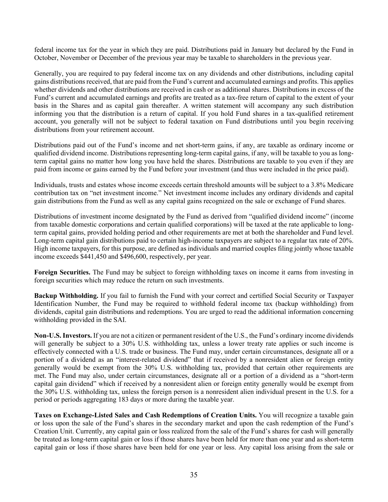federal income tax for the year in which they are paid. Distributions paid in January but declared by the Fund in October, November or December of the previous year may be taxable to shareholders in the previous year.

Generally, you are required to pay federal income tax on any dividends and other distributions, including capital gains distributions received, that are paid from the Fund's current and accumulated earnings and profits. This applies whether dividends and other distributions are received in cash or as additional shares. Distributions in excess of the Fund's current and accumulated earnings and profits are treated as a tax-free return of capital to the extent of your basis in the Shares and as capital gain thereafter. A written statement will accompany any such distribution informing you that the distribution is a return of capital. If you hold Fund shares in a tax-qualified retirement account, you generally will not be subject to federal taxation on Fund distributions until you begin receiving distributions from your retirement account.

Distributions paid out of the Fund's income and net short-term gains, if any, are taxable as ordinary income or qualified dividend income. Distributions representing long-term capital gains, if any, will be taxable to you as longterm capital gains no matter how long you have held the shares. Distributions are taxable to you even if they are paid from income or gains earned by the Fund before your investment (and thus were included in the price paid).

Individuals, trusts and estates whose income exceeds certain threshold amounts will be subject to a 3.8% Medicare contribution tax on "net investment income." Net investment income includes any ordinary dividends and capital gain distributions from the Fund as well as any capital gains recognized on the sale or exchange of Fund shares.

Distributions of investment income designated by the Fund as derived from "qualified dividend income" (income from taxable domestic corporations and certain qualified corporations) will be taxed at the rate applicable to longterm capital gains, provided holding period and other requirements are met at both the shareholder and Fund level. Long-term capital gain distributions paid to certain high-income taxpayers are subject to a regular tax rate of 20%. High income taxpayers, for this purpose, are defined as individuals and married couples filing jointly whose taxable income exceeds \$441,450 and \$496,600, respectively, per year.

**Foreign Securities.** The Fund may be subject to foreign withholding taxes on income it earns from investing in foreign securities which may reduce the return on such investments.

**Backup Withholding.** If you fail to furnish the Fund with your correct and certified Social Security or Taxpayer Identification Number, the Fund may be required to withhold federal income tax (backup withholding) from dividends, capital gain distributions and redemptions. You are urged to read the additional information concerning withholding provided in the SAI.

**Non-U.S. Investors.** If you are not a citizen or permanent resident of the U.S., the Fund's ordinary income dividends will generally be subject to a 30% U.S. withholding tax, unless a lower treaty rate applies or such income is effectively connected with a U.S. trade or business. The Fund may, under certain circumstances, designate all or a portion of a dividend as an "interest-related dividend" that if received by a nonresident alien or foreign entity generally would be exempt from the 30% U.S. withholding tax, provided that certain other requirements are met. The Fund may also, under certain circumstances, designate all or a portion of a dividend as a "short-term capital gain dividend" which if received by a nonresident alien or foreign entity generally would be exempt from the 30% U.S. withholding tax, unless the foreign person is a nonresident alien individual present in the U.S. for a period or periods aggregating 183 days or more during the taxable year.

**Taxes on Exchange-Listed Sales and Cash Redemptions of Creation Units.** You will recognize a taxable gain or loss upon the sale of the Fund's shares in the secondary market and upon the cash redemption of the Fund's Creation Unit. Currently, any capital gain or loss realized from the sale of the Fund's shares for cash will generally be treated as long-term capital gain or loss if those shares have been held for more than one year and as short-term capital gain or loss if those shares have been held for one year or less. Any capital loss arising from the sale or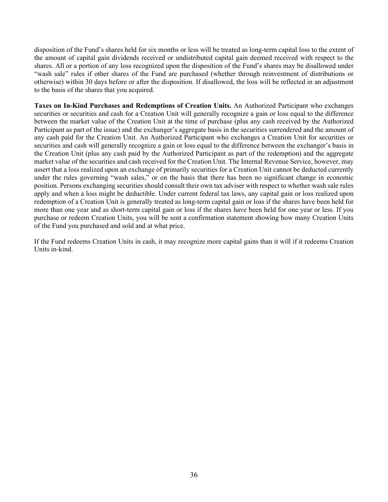disposition of the Fund's shares held for six months or less will be treated as long-term capital loss to the extent of the amount of capital gain dividends received or undistributed capital gain deemed received with respect to the shares. All or a portion of any loss recognized upon the disposition of the Fund's shares may be disallowed under "wash sale" rules if other shares of the Fund are purchased (whether through reinvestment of distributions or otherwise) within 30 days before or after the disposition. If disallowed, the loss will be reflected in an adjustment to the basis of the shares that you acquired.

**Taxes on In-Kind Purchases and Redemptions of Creation Units.** An Authorized Participant who exchanges securities or securities and cash for a Creation Unit will generally recognize a gain or loss equal to the difference between the market value of the Creation Unit at the time of purchase (plus any cash received by the Authorized Participant as part of the issue) and the exchanger's aggregate basis in the securities surrendered and the amount of any cash paid for the Creation Unit. An Authorized Participant who exchanges a Creation Unit for securities or securities and cash will generally recognize a gain or loss equal to the difference between the exchanger's basis in the Creation Unit (plus any cash paid by the Authorized Participant as part of the redemption) and the aggregate market value of the securities and cash received for the Creation Unit. The Internal Revenue Service, however, may assert that a loss realized upon an exchange of primarily securities for a Creation Unit cannot be deducted currently under the rules governing "wash sales," or on the basis that there has been no significant change in economic position. Persons exchanging securities should consult their own tax adviser with respect to whether wash sale rules apply and when a loss might be deductible. Under current federal tax laws, any capital gain or loss realized upon redemption of a Creation Unit is generally treated as long-term capital gain or loss if the shares have been held for more than one year and as short-term capital gain or loss if the shares have been held for one year or less. If you purchase or redeem Creation Units, you will be sent a confirmation statement showing how many Creation Units of the Fund you purchased and sold and at what price.

If the Fund redeems Creation Units in cash, it may recognize more capital gains than it will if it redeems Creation Units in-kind.